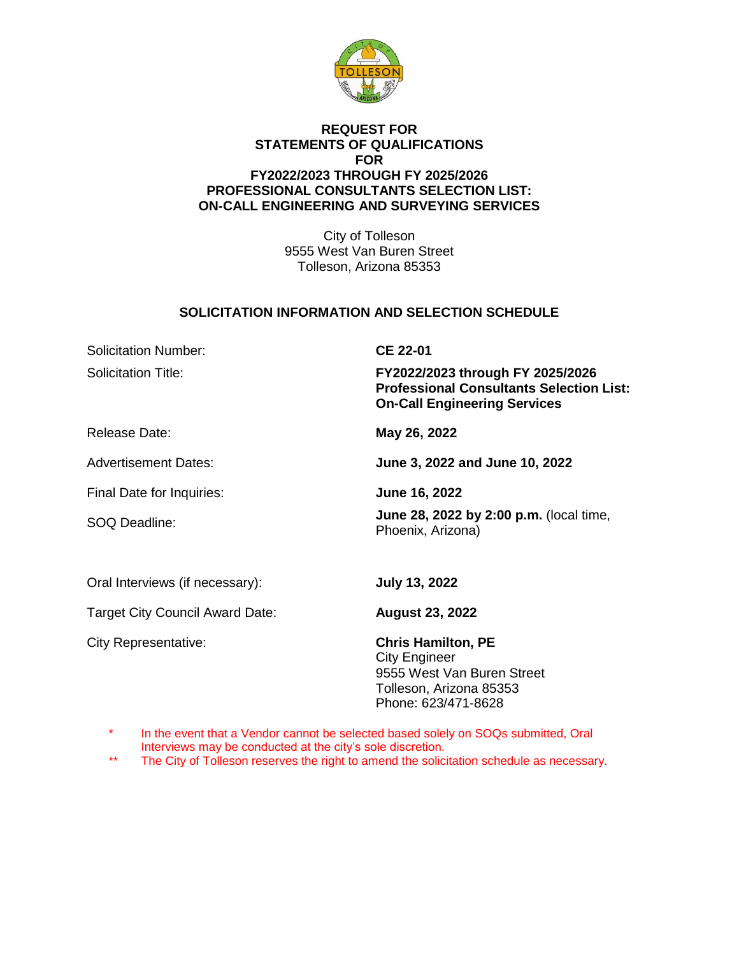

### **REQUEST FOR STATEMENTS OF QUALIFICATIONS FOR FY2022/2023 THROUGH FY 2025/2026 PROFESSIONAL CONSULTANTS SELECTION LIST: ON-CALL ENGINEERING AND SURVEYING SERVICES**

City of Tolleson 9555 West Van Buren Street Tolleson, Arizona 85353

## **SOLICITATION INFORMATION AND SELECTION SCHEDULE**

Solicitation Number: **CE 22-01** 

Solicitation Title: **FY2022/2023 through FY 2025/2026 Professional Consultants Selection List: On-Call Engineering Services**

Release Date: **May 26, 2022**

Advertisement Dates: **June 3, 2022 and June 10, 2022**

Final Date for Inquiries: **June 16, 2022**

SOQ Deadline: **June 28, 2022 by 2:00 p.m.** (local time,

Phoenix, Arizona)

Oral Interviews (if necessary): **July 13, 2022**

Target City Council Award Date: **August 23, 2022**

City Representative: **Chris Hamilton, PE** City Engineer 9555 West Van Buren Street Tolleson, Arizona 85353 Phone: 623/471-8628

In the event that a Vendor cannot be selected based solely on SOQs submitted, Oral Interviews may be conducted at the city's sole discretion.

\*\* The City of Tolleson reserves the right to amend the solicitation schedule as necessary.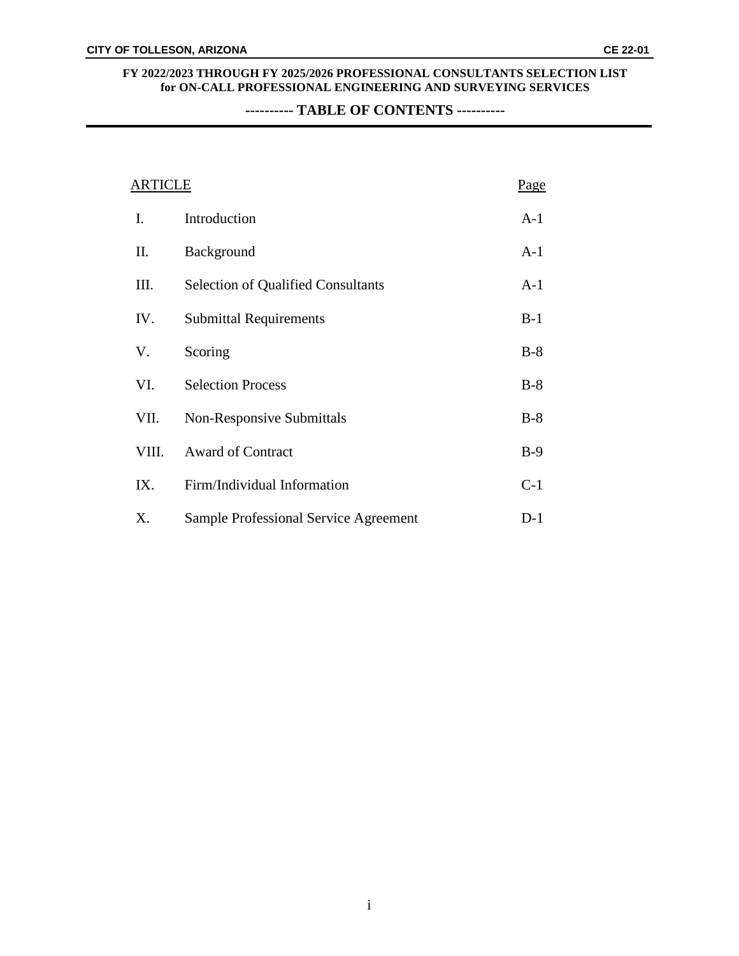**---------- TABLE OF CONTENTS ----------**

| <b>ARTICLE</b> |                                           | <u>Page</u> |
|----------------|-------------------------------------------|-------------|
| Ι.             | Introduction                              | $A-1$       |
| П.             | Background                                | $A-1$       |
| Ш.             | <b>Selection of Qualified Consultants</b> | $A-1$       |
| IV.            | <b>Submittal Requirements</b>             | $B-1$       |
| V.             | Scoring                                   | $B-8$       |
| VI.            | <b>Selection Process</b>                  | $B-8$       |
| VII.           | <b>Non-Responsive Submittals</b>          | $B-8$       |
| VIII.          | <b>Award of Contract</b>                  | $B-9$       |
| IX.            | Firm/Individual Information               | $C-1$       |
| Χ.             | Sample Professional Service Agreement     | $D-1$       |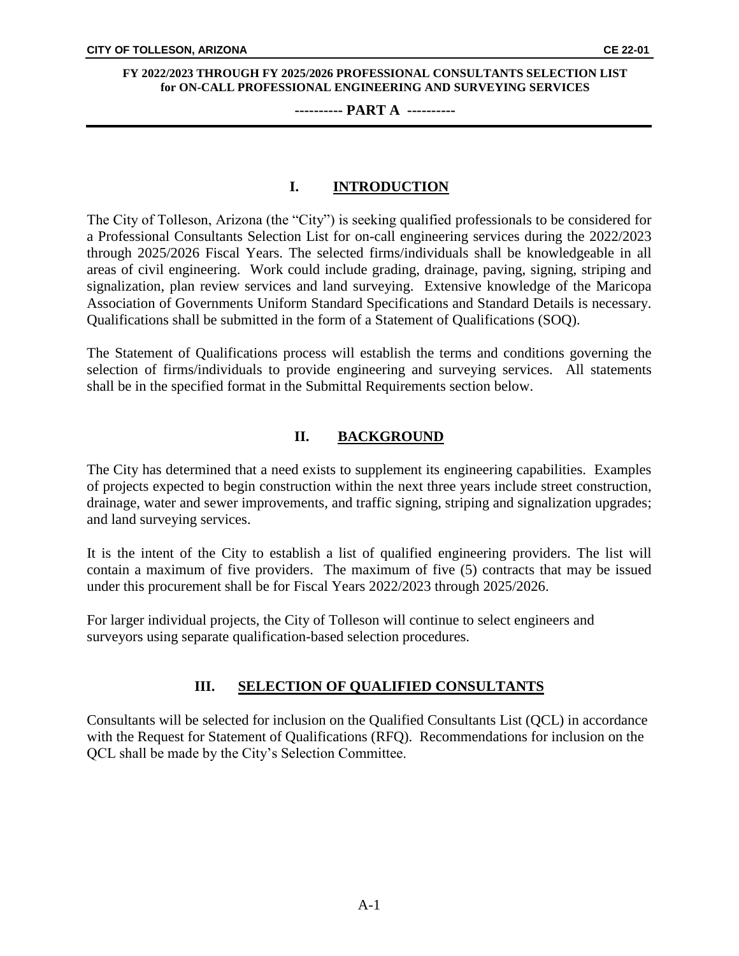### **---------- PART A ----------**

## **I. INTRODUCTION**

The City of Tolleson, Arizona (the "City") is seeking qualified professionals to be considered for a Professional Consultants Selection List for on-call engineering services during the 2022/2023 through 2025/2026 Fiscal Years. The selected firms/individuals shall be knowledgeable in all areas of civil engineering. Work could include grading, drainage, paving, signing, striping and signalization, plan review services and land surveying. Extensive knowledge of the Maricopa Association of Governments Uniform Standard Specifications and Standard Details is necessary. Qualifications shall be submitted in the form of a Statement of Qualifications (SOQ).

The Statement of Qualifications process will establish the terms and conditions governing the selection of firms/individuals to provide engineering and surveying services. All statements shall be in the specified format in the Submittal Requirements section below.

## **II. BACKGROUND**

The City has determined that a need exists to supplement its engineering capabilities. Examples of projects expected to begin construction within the next three years include street construction, drainage, water and sewer improvements, and traffic signing, striping and signalization upgrades; and land surveying services.

It is the intent of the City to establish a list of qualified engineering providers. The list will contain a maximum of five providers. The maximum of five (5) contracts that may be issued under this procurement shall be for Fiscal Years 2022/2023 through 2025/2026.

For larger individual projects, the City of Tolleson will continue to select engineers and surveyors using separate qualification-based selection procedures.

## **III. SELECTION OF QUALIFIED CONSULTANTS**

Consultants will be selected for inclusion on the Qualified Consultants List (QCL) in accordance with the Request for Statement of Qualifications (RFQ). Recommendations for inclusion on the QCL shall be made by the City's Selection Committee.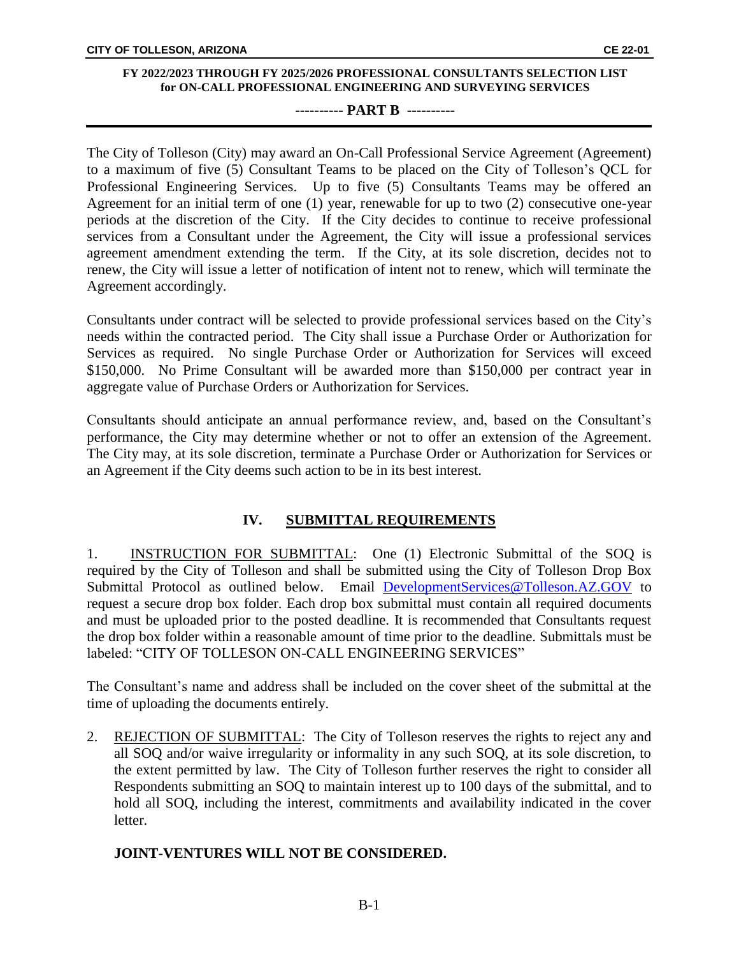### **---------- PART B ----------**

The City of Tolleson (City) may award an On-Call Professional Service Agreement (Agreement) to a maximum of five (5) Consultant Teams to be placed on the City of Tolleson's QCL for Professional Engineering Services. Up to five (5) Consultants Teams may be offered an Agreement for an initial term of one (1) year, renewable for up to two (2) consecutive one-year periods at the discretion of the City. If the City decides to continue to receive professional services from a Consultant under the Agreement, the City will issue a professional services agreement amendment extending the term. If the City, at its sole discretion, decides not to renew, the City will issue a letter of notification of intent not to renew, which will terminate the Agreement accordingly.

Consultants under contract will be selected to provide professional services based on the City's needs within the contracted period. The City shall issue a Purchase Order or Authorization for Services as required. No single Purchase Order or Authorization for Services will exceed \$150,000. No Prime Consultant will be awarded more than \$150,000 per contract year in aggregate value of Purchase Orders or Authorization for Services.

Consultants should anticipate an annual performance review, and, based on the Consultant's performance, the City may determine whether or not to offer an extension of the Agreement. The City may, at its sole discretion, terminate a Purchase Order or Authorization for Services or an Agreement if the City deems such action to be in its best interest.

## **IV. SUBMITTAL REQUIREMENTS**

1. INSTRUCTION FOR SUBMITTAL: One (1) Electronic Submittal of the SOQ is required by the City of Tolleson and shall be submitted using the City of Tolleson Drop Box Submittal Protocol as outlined below. Email [DevelopmentServices@Tolleson.AZ.GOV](mailto:DevelopmentServices@Tolleson.AZ.GOV) to request a secure drop box folder. Each drop box submittal must contain all required documents and must be uploaded prior to the posted deadline. It is recommended that Consultants request the drop box folder within a reasonable amount of time prior to the deadline. Submittals must be labeled: "CITY OF TOLLESON ON-CALL ENGINEERING SERVICES"

The Consultant's name and address shall be included on the cover sheet of the submittal at the time of uploading the documents entirely.

2. REJECTION OF SUBMITTAL: The City of Tolleson reserves the rights to reject any and all SOQ and/or waive irregularity or informality in any such SOQ, at its sole discretion, to the extent permitted by law. The City of Tolleson further reserves the right to consider all Respondents submitting an SOQ to maintain interest up to 100 days of the submittal, and to hold all SOQ, including the interest, commitments and availability indicated in the cover letter.

## **JOINT-VENTURES WILL NOT BE CONSIDERED.**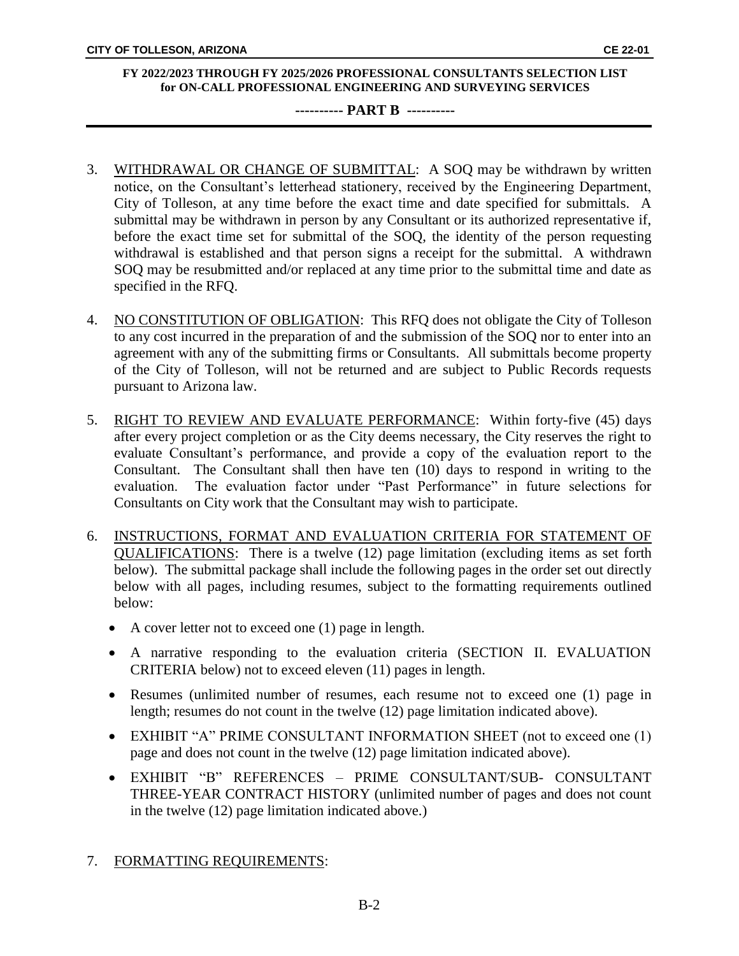### **---------- PART B ----------**

- 3. WITHDRAWAL OR CHANGE OF SUBMITTAL: A SOQ may be withdrawn by written notice, on the Consultant's letterhead stationery, received by the Engineering Department, City of Tolleson, at any time before the exact time and date specified for submittals. A submittal may be withdrawn in person by any Consultant or its authorized representative if, before the exact time set for submittal of the SOQ, the identity of the person requesting withdrawal is established and that person signs a receipt for the submittal. A withdrawn SOQ may be resubmitted and/or replaced at any time prior to the submittal time and date as specified in the RFQ.
- 4. NO CONSTITUTION OF OBLIGATION: This RFQ does not obligate the City of Tolleson to any cost incurred in the preparation of and the submission of the SOQ nor to enter into an agreement with any of the submitting firms or Consultants. All submittals become property of the City of Tolleson, will not be returned and are subject to Public Records requests pursuant to Arizona law.
- 5. RIGHT TO REVIEW AND EVALUATE PERFORMANCE: Within forty-five (45) days after every project completion or as the City deems necessary, the City reserves the right to evaluate Consultant's performance, and provide a copy of the evaluation report to the Consultant. The Consultant shall then have ten (10) days to respond in writing to the evaluation. The evaluation factor under "Past Performance" in future selections for Consultants on City work that the Consultant may wish to participate.
- 6. INSTRUCTIONS, FORMAT AND EVALUATION CRITERIA FOR STATEMENT OF QUALIFICATIONS: There is a twelve (12) page limitation (excluding items as set forth below). The submittal package shall include the following pages in the order set out directly below with all pages, including resumes, subject to the formatting requirements outlined below:
	- A cover letter not to exceed one (1) page in length.
	- A narrative responding to the evaluation criteria (SECTION II. EVALUATION CRITERIA below) not to exceed eleven (11) pages in length.
	- Resumes (unlimited number of resumes, each resume not to exceed one (1) page in length; resumes do not count in the twelve (12) page limitation indicated above).
	- EXHIBIT "A" PRIME CONSULTANT INFORMATION SHEET (not to exceed one (1) page and does not count in the twelve (12) page limitation indicated above).
	- EXHIBIT "B" REFERENCES PRIME CONSULTANT/SUB- CONSULTANT THREE-YEAR CONTRACT HISTORY (unlimited number of pages and does not count in the twelve (12) page limitation indicated above.)

## 7. FORMATTING REQUIREMENTS: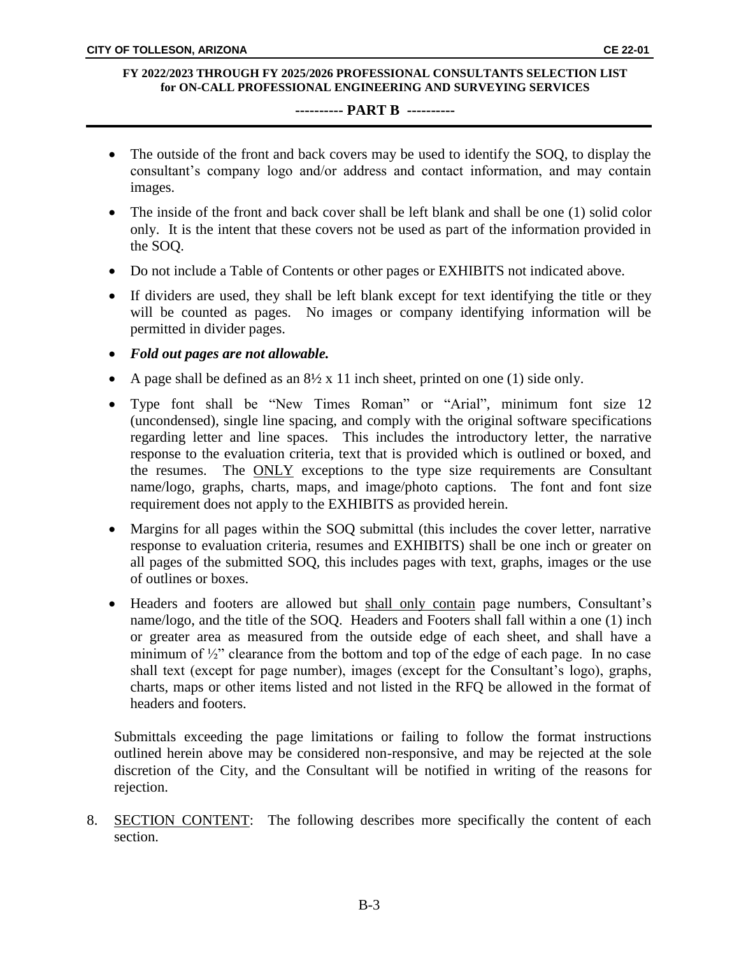### **---------- PART B ----------**

- The outside of the front and back covers may be used to identify the SOQ, to display the consultant's company logo and/or address and contact information, and may contain images.
- The inside of the front and back cover shall be left blank and shall be one (1) solid color only. It is the intent that these covers not be used as part of the information provided in the SOQ.
- Do not include a Table of Contents or other pages or EXHIBITS not indicated above.
- If dividers are used, they shall be left blank except for text identifying the title or they will be counted as pages. No images or company identifying information will be permitted in divider pages.
- *Fold out pages are not allowable.*
- A page shall be defined as an  $8\frac{1}{2} \times 11$  inch sheet, printed on one (1) side only.
- Type font shall be "New Times Roman" or "Arial", minimum font size 12 (uncondensed), single line spacing, and comply with the original software specifications regarding letter and line spaces. This includes the introductory letter, the narrative response to the evaluation criteria, text that is provided which is outlined or boxed, and the resumes. The **ONLY** exceptions to the type size requirements are Consultant name/logo, graphs, charts, maps, and image/photo captions. The font and font size requirement does not apply to the EXHIBITS as provided herein.
- Margins for all pages within the SOQ submittal (this includes the cover letter, narrative response to evaluation criteria, resumes and EXHIBITS) shall be one inch or greater on all pages of the submitted SOQ, this includes pages with text, graphs, images or the use of outlines or boxes.
- Headers and footers are allowed but shall only contain page numbers, Consultant's name/logo, and the title of the SOQ. Headers and Footers shall fall within a one (1) inch or greater area as measured from the outside edge of each sheet, and shall have a minimum of  $\frac{1}{2}$ " clearance from the bottom and top of the edge of each page. In no case shall text (except for page number), images (except for the Consultant's logo), graphs, charts, maps or other items listed and not listed in the RFQ be allowed in the format of headers and footers.

Submittals exceeding the page limitations or failing to follow the format instructions outlined herein above may be considered non-responsive, and may be rejected at the sole discretion of the City, and the Consultant will be notified in writing of the reasons for rejection.

8. SECTION CONTENT: The following describes more specifically the content of each section.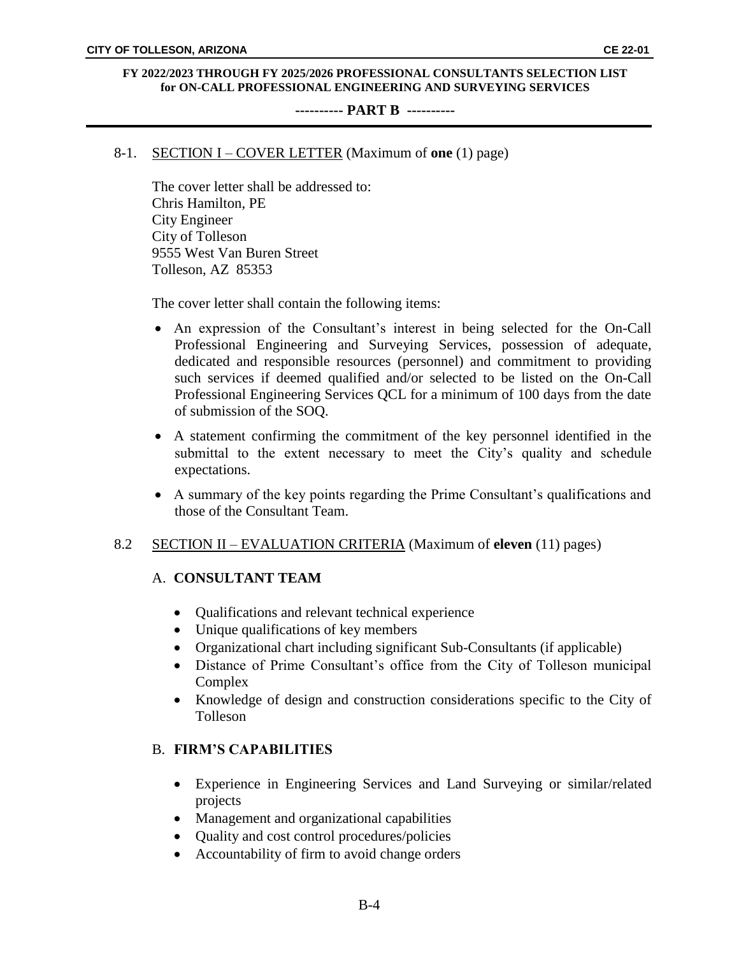#### **---------- PART B ----------**

## 8-1. SECTION I – COVER LETTER (Maximum of **one** (1) page)

The cover letter shall be addressed to: Chris Hamilton, PE City Engineer City of Tolleson 9555 West Van Buren Street Tolleson, AZ 85353

The cover letter shall contain the following items:

- An expression of the Consultant's interest in being selected for the On-Call Professional Engineering and Surveying Services, possession of adequate, dedicated and responsible resources (personnel) and commitment to providing such services if deemed qualified and/or selected to be listed on the On-Call Professional Engineering Services QCL for a minimum of 100 days from the date of submission of the SOQ.
- A statement confirming the commitment of the key personnel identified in the submittal to the extent necessary to meet the City's quality and schedule expectations.
- A summary of the key points regarding the Prime Consultant's qualifications and those of the Consultant Team.

## 8.2 SECTION II – EVALUATION CRITERIA (Maximum of **eleven** (11) pages)

## A. **CONSULTANT TEAM**

- Qualifications and relevant technical experience
- Unique qualifications of key members
- Organizational chart including significant Sub-Consultants (if applicable)
- Distance of Prime Consultant's office from the City of Tolleson municipal Complex
- Knowledge of design and construction considerations specific to the City of Tolleson

## B. **FIRM'S CAPABILITIES**

- Experience in Engineering Services and Land Surveying or similar/related projects
- Management and organizational capabilities
- Quality and cost control procedures/policies
- Accountability of firm to avoid change orders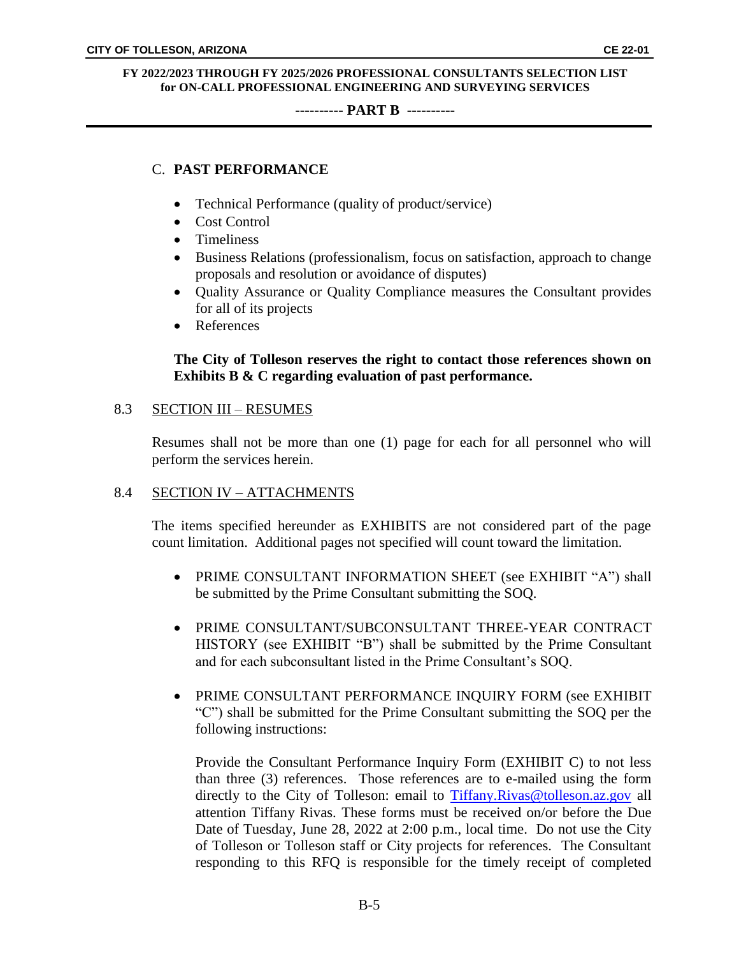### **---------- PART B ----------**

## C. **PAST PERFORMANCE**

- Technical Performance (quality of product/service)
- Cost Control
- Timeliness
- Business Relations (professionalism, focus on satisfaction, approach to change proposals and resolution or avoidance of disputes)
- Quality Assurance or Quality Compliance measures the Consultant provides for all of its projects
- References

## **The City of Tolleson reserves the right to contact those references shown on Exhibits B & C regarding evaluation of past performance.**

### 8.3 SECTION III – RESUMES

Resumes shall not be more than one (1) page for each for all personnel who will perform the services herein.

## 8.4 SECTION IV – ATTACHMENTS

The items specified hereunder as EXHIBITS are not considered part of the page count limitation. Additional pages not specified will count toward the limitation.

- PRIME CONSULTANT INFORMATION SHEET (see EXHIBIT "A") shall be submitted by the Prime Consultant submitting the SOQ.
- PRIME CONSULTANT/SUBCONSULTANT THREE-YEAR CONTRACT HISTORY (see EXHIBIT "B") shall be submitted by the Prime Consultant and for each subconsultant listed in the Prime Consultant's SOQ.
- PRIME CONSULTANT PERFORMANCE INQUIRY FORM (see EXHIBIT "C") shall be submitted for the Prime Consultant submitting the SOQ per the following instructions:

Provide the Consultant Performance Inquiry Form (EXHIBIT C) to not less than three (3) references. Those references are to e-mailed using the form directly to the City of Tolleson: email to [Tiffany.Rivas@tolleson.az.gov](mailto:Tiffany.Rivas@tolleson.az.gov) all attention Tiffany Rivas. These forms must be received on/or before the Due Date of Tuesday, June 28, 2022 at 2:00 p.m., local time. Do not use the City of Tolleson or Tolleson staff or City projects for references. The Consultant responding to this RFQ is responsible for the timely receipt of completed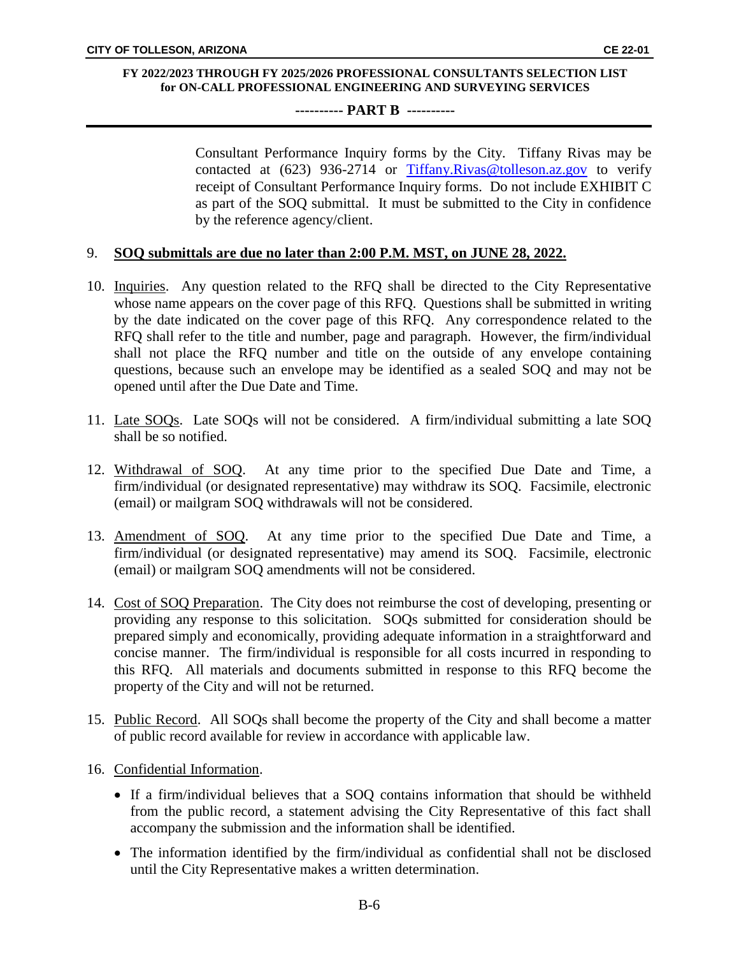### **---------- PART B ----------**

Consultant Performance Inquiry forms by the City. Tiffany Rivas may be contacted at (623) 936-2714 or [Tiffany.Rivas@tolleson.az.gov](mailto:Tiffany.Rivas@tolleson.az.gov) to verify receipt of Consultant Performance Inquiry forms. Do not include EXHIBIT C as part of the SOQ submittal. It must be submitted to the City in confidence by the reference agency/client.

### 9. **SOQ submittals are due no later than 2:00 P.M. MST, on JUNE 28, 2022.**

- 10. Inquiries. Any question related to the RFQ shall be directed to the City Representative whose name appears on the cover page of this RFQ. Questions shall be submitted in writing by the date indicated on the cover page of this RFQ. Any correspondence related to the RFQ shall refer to the title and number, page and paragraph. However, the firm/individual shall not place the RFQ number and title on the outside of any envelope containing questions, because such an envelope may be identified as a sealed SOQ and may not be opened until after the Due Date and Time.
- 11. Late SOQs. Late SOQs will not be considered. A firm/individual submitting a late SOQ shall be so notified.
- 12. Withdrawal of SOQ. At any time prior to the specified Due Date and Time, a firm/individual (or designated representative) may withdraw its SOQ. Facsimile, electronic (email) or mailgram SOQ withdrawals will not be considered.
- 13. Amendment of SOQ. At any time prior to the specified Due Date and Time, a firm/individual (or designated representative) may amend its SOQ. Facsimile, electronic (email) or mailgram SOQ amendments will not be considered.
- 14. Cost of SOQ Preparation. The City does not reimburse the cost of developing, presenting or providing any response to this solicitation. SOQs submitted for consideration should be prepared simply and economically, providing adequate information in a straightforward and concise manner. The firm/individual is responsible for all costs incurred in responding to this RFQ. All materials and documents submitted in response to this RFQ become the property of the City and will not be returned.
- 15. Public Record. All SOQs shall become the property of the City and shall become a matter of public record available for review in accordance with applicable law.
- 16. Confidential Information.
	- If a firm/individual believes that a SOQ contains information that should be withheld from the public record, a statement advising the City Representative of this fact shall accompany the submission and the information shall be identified.
	- The information identified by the firm/individual as confidential shall not be disclosed until the City Representative makes a written determination.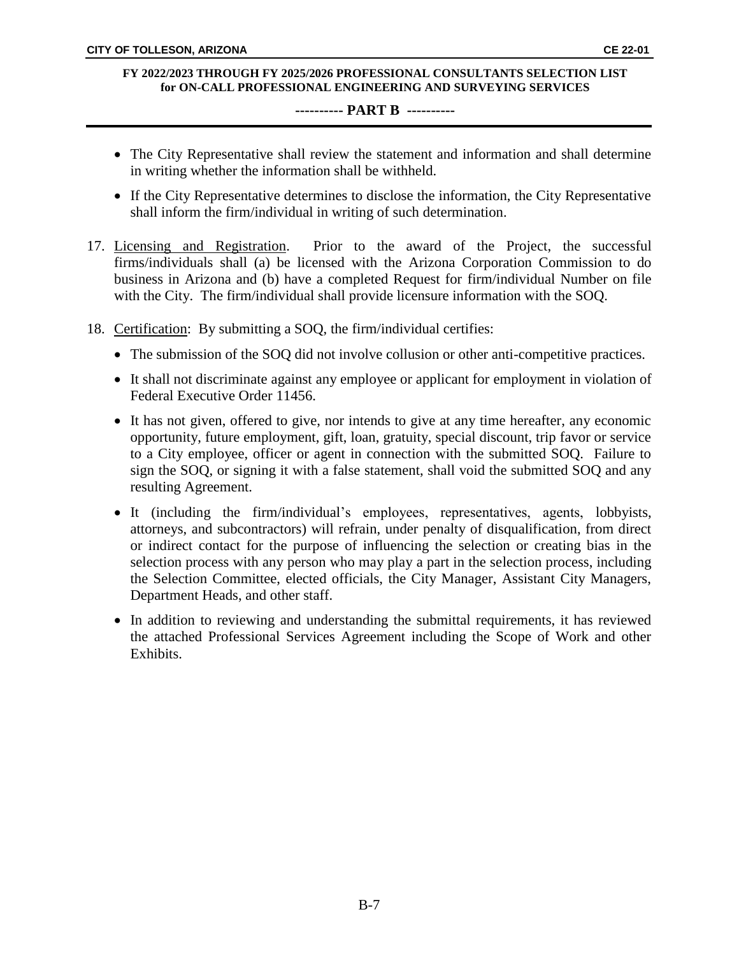### **---------- PART B ----------**

- The City Representative shall review the statement and information and shall determine in writing whether the information shall be withheld.
- If the City Representative determines to disclose the information, the City Representative shall inform the firm/individual in writing of such determination.
- 17. Licensing and Registration. Prior to the award of the Project, the successful firms/individuals shall (a) be licensed with the Arizona Corporation Commission to do business in Arizona and (b) have a completed Request for firm/individual Number on file with the City. The firm/individual shall provide licensure information with the SOQ.
- 18. Certification: By submitting a SOQ, the firm/individual certifies:
	- The submission of the SOQ did not involve collusion or other anti-competitive practices.
	- It shall not discriminate against any employee or applicant for employment in violation of Federal Executive Order 11456.
	- It has not given, offered to give, nor intends to give at any time hereafter, any economic opportunity, future employment, gift, loan, gratuity, special discount, trip favor or service to a City employee, officer or agent in connection with the submitted SOQ. Failure to sign the SOQ, or signing it with a false statement, shall void the submitted SOQ and any resulting Agreement.
	- It (including the firm/individual's employees, representatives, agents, lobbyists, attorneys, and subcontractors) will refrain, under penalty of disqualification, from direct or indirect contact for the purpose of influencing the selection or creating bias in the selection process with any person who may play a part in the selection process, including the Selection Committee, elected officials, the City Manager, Assistant City Managers, Department Heads, and other staff.
	- In addition to reviewing and understanding the submittal requirements, it has reviewed the attached Professional Services Agreement including the Scope of Work and other Exhibits.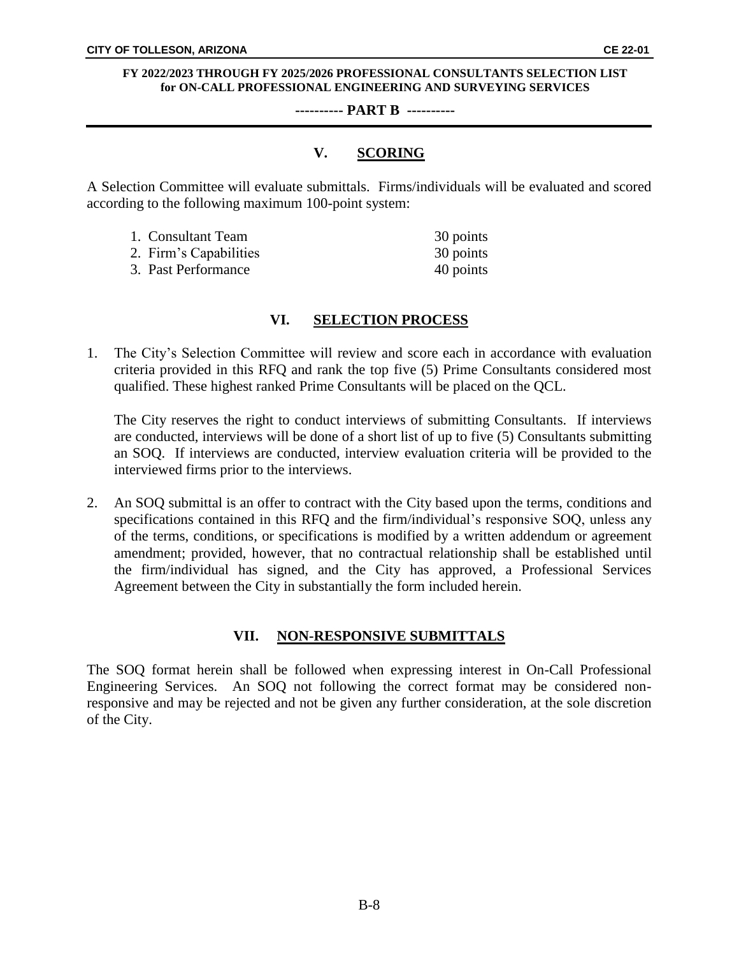#### **---------- PART B ----------**

## **V. SCORING**

A Selection Committee will evaluate submittals. Firms/individuals will be evaluated and scored according to the following maximum 100-point system:

| 1. Consultant Team     | 30 points |
|------------------------|-----------|
| 2. Firm's Capabilities | 30 points |
| 3. Past Performance    | 40 points |

## **VI. SELECTION PROCESS**

1. The City's Selection Committee will review and score each in accordance with evaluation criteria provided in this RFQ and rank the top five (5) Prime Consultants considered most qualified. These highest ranked Prime Consultants will be placed on the QCL.

The City reserves the right to conduct interviews of submitting Consultants. If interviews are conducted, interviews will be done of a short list of up to five (5) Consultants submitting an SOQ. If interviews are conducted, interview evaluation criteria will be provided to the interviewed firms prior to the interviews.

2. An SOQ submittal is an offer to contract with the City based upon the terms, conditions and specifications contained in this RFQ and the firm/individual's responsive SOQ, unless any of the terms, conditions, or specifications is modified by a written addendum or agreement amendment; provided, however, that no contractual relationship shall be established until the firm/individual has signed, and the City has approved, a Professional Services Agreement between the City in substantially the form included herein.

## **VII. NON-RESPONSIVE SUBMITTALS**

The SOQ format herein shall be followed when expressing interest in On-Call Professional Engineering Services. An SOQ not following the correct format may be considered nonresponsive and may be rejected and not be given any further consideration, at the sole discretion of the City.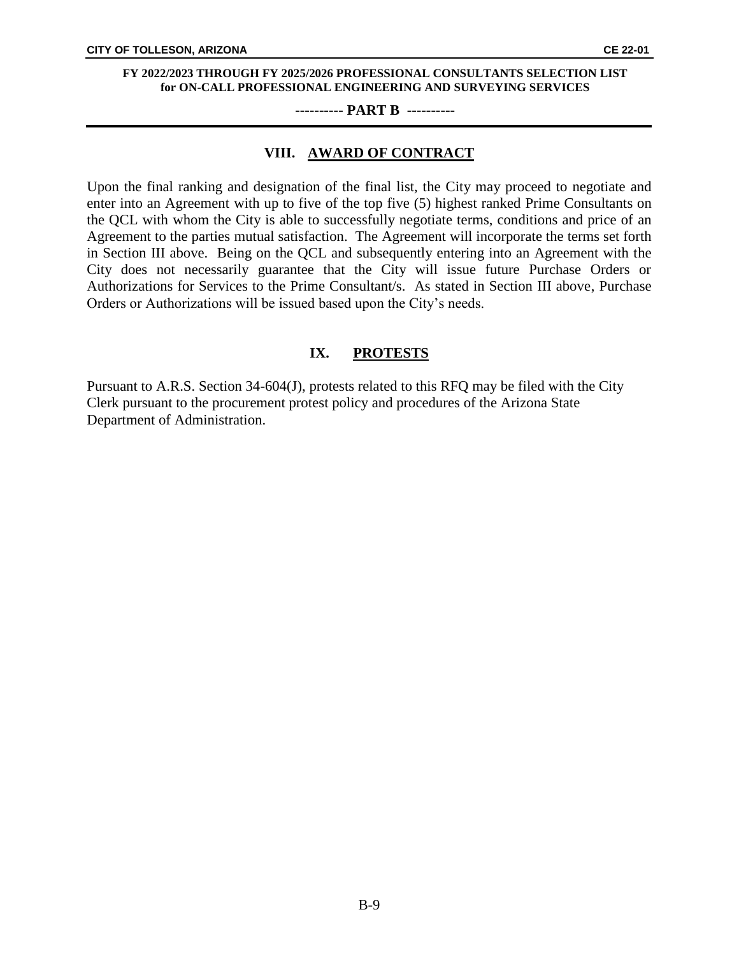#### **---------- PART B ----------**

### **VIII. AWARD OF CONTRACT**

Upon the final ranking and designation of the final list, the City may proceed to negotiate and enter into an Agreement with up to five of the top five (5) highest ranked Prime Consultants on the QCL with whom the City is able to successfully negotiate terms, conditions and price of an Agreement to the parties mutual satisfaction. The Agreement will incorporate the terms set forth in Section III above. Being on the QCL and subsequently entering into an Agreement with the City does not necessarily guarantee that the City will issue future Purchase Orders or Authorizations for Services to the Prime Consultant/s. As stated in Section III above, Purchase Orders or Authorizations will be issued based upon the City's needs.

## **IX. PROTESTS**

Pursuant to A.R.S. Section 34-604(J), protests related to this RFQ may be filed with the City Clerk pursuant to the procurement protest policy and procedures of the Arizona State Department of Administration.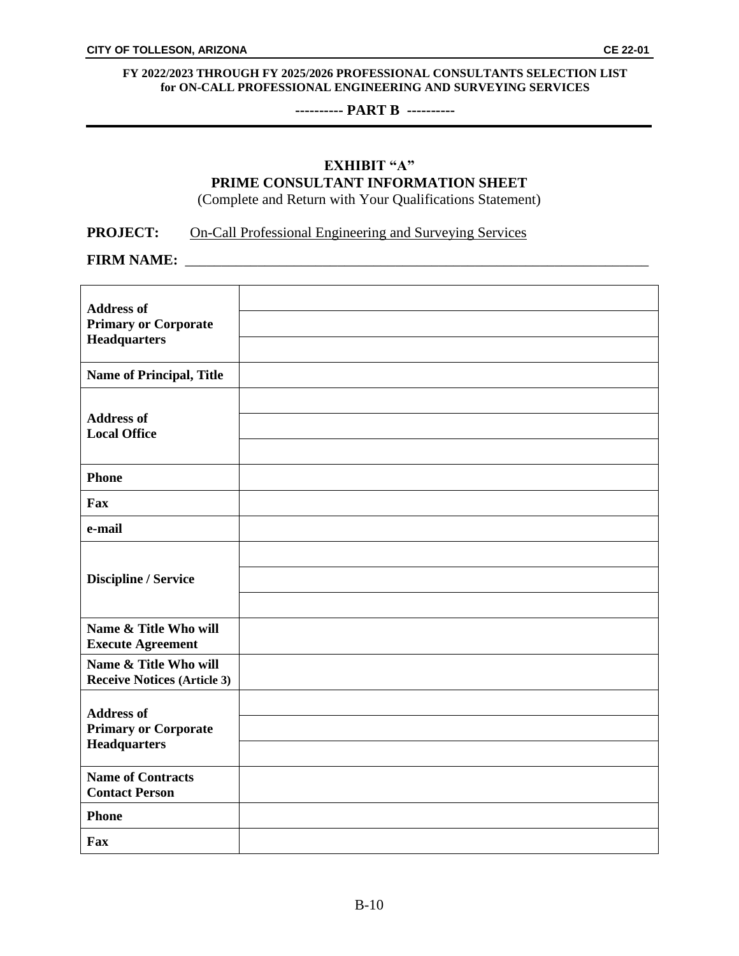### **---------- PART B ----------**

# **EXHIBIT "A" PRIME CONSULTANT INFORMATION SHEET**

(Complete and Return with Your Qualifications Statement)

## **PROJECT:** On-Call Professional Engineering and Surveying Services

**FIRM NAME:**  $\blacksquare$ 

| <b>Address of</b><br><b>Primary or Corporate</b><br><b>Headquarters</b> |  |
|-------------------------------------------------------------------------|--|
| Name of Principal, Title                                                |  |
| <b>Address of</b><br><b>Local Office</b>                                |  |
| <b>Phone</b>                                                            |  |
| Fax                                                                     |  |
| e-mail                                                                  |  |
| <b>Discipline / Service</b>                                             |  |
| Name & Title Who will<br><b>Execute Agreement</b>                       |  |
| Name & Title Who will<br><b>Receive Notices (Article 3)</b>             |  |
| <b>Address of</b><br><b>Primary or Corporate</b><br><b>Headquarters</b> |  |
| <b>Name of Contracts</b><br><b>Contact Person</b>                       |  |
| <b>Phone</b>                                                            |  |
| Fax                                                                     |  |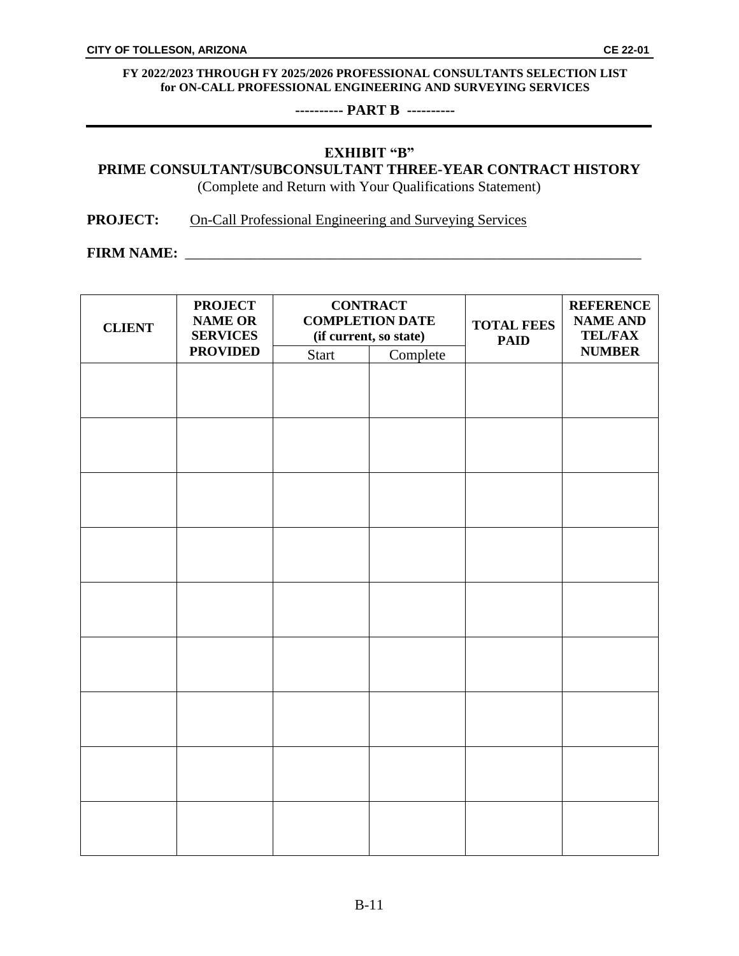**---------- PART B ----------**

## **EXHIBIT "B"**

## **PRIME CONSULTANT/SUBCONSULTANT THREE-YEAR CONTRACT HISTORY**

(Complete and Return with Your Qualifications Statement)

**PROJECT:** On-Call Professional Engineering and Surveying Services

**FIRM NAME:**  $\blacksquare$ 

| <b>NUMBER</b> |
|---------------|
|               |
|               |
|               |
|               |
|               |
|               |
|               |
|               |
|               |
|               |
|               |
|               |
|               |
|               |
|               |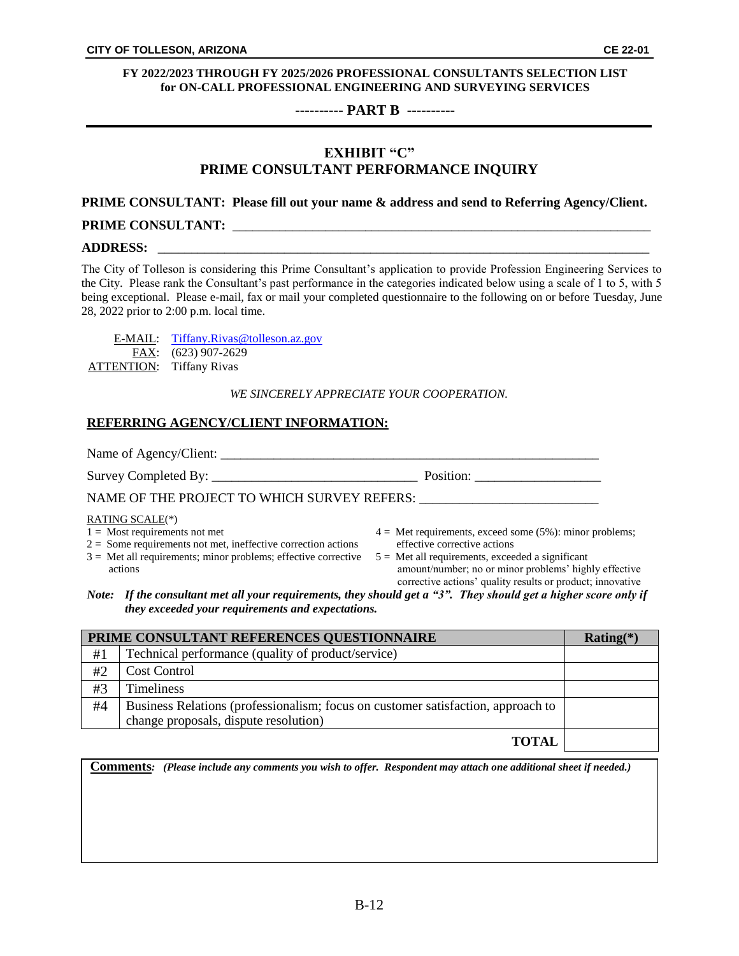#### **---------- PART B ----------**

## **EXHIBIT "C" PRIME CONSULTANT PERFORMANCE INQUIRY**

#### **PRIME CONSULTANT: Please fill out your name & address and send to Referring Agency/Client.**

### **PRIME CONSULTANT:** \_\_\_\_\_\_\_\_\_\_\_\_\_\_\_\_\_\_\_\_\_\_\_\_\_\_\_\_\_\_\_\_\_\_\_\_\_\_\_\_\_\_\_\_\_\_\_\_\_\_\_\_\_\_\_\_\_\_\_\_\_\_\_

#### **ADDRESS:** \_\_\_\_\_\_\_\_\_\_\_\_\_\_\_\_\_\_\_\_\_\_\_\_\_\_\_\_\_\_\_\_\_\_\_\_\_\_\_\_\_\_\_\_\_\_\_\_\_\_\_\_\_\_\_\_\_\_\_\_\_\_\_\_\_\_\_\_\_\_\_\_\_\_

The City of Tolleson is considering this Prime Consultant's application to provide Profession Engineering Services to the City. Please rank the Consultant's past performance in the categories indicated below using a scale of 1 to 5, with 5 being exceptional. Please e-mail, fax or mail your completed questionnaire to the following on or before Tuesday, June 28, 2022 prior to 2:00 p.m. local time.

|                                 | E-MAIL: Tiffany.Rivas@tolleson.az.gov |
|---------------------------------|---------------------------------------|
|                                 | FAX: (623) 907-2629                   |
| <b>ATTENTION:</b> Tiffany Rivas |                                       |

#### *WE SINCERELY APPRECIATE YOUR COOPERATION.*

### **REFERRING AGENCY/CLIENT INFORMATION:**

| Name of Agency/Client:                                                                                                                                                                               |                                                                                                                                                                                                                                                                        |  |
|------------------------------------------------------------------------------------------------------------------------------------------------------------------------------------------------------|------------------------------------------------------------------------------------------------------------------------------------------------------------------------------------------------------------------------------------------------------------------------|--|
|                                                                                                                                                                                                      | Position: ____                                                                                                                                                                                                                                                         |  |
| NAME OF THE PROJECT TO WHICH SURVEY REFERS:                                                                                                                                                          |                                                                                                                                                                                                                                                                        |  |
| RATING SCALE(*)<br>$1 =$ Most requirements not met<br>$2 =$ Some requirements not met, ineffective correction actions<br>$3 =$ Met all requirements; minor problems; effective corrective<br>actions | $4 =$ Met requirements, exceed some (5%): minor problems;<br>effective corrective actions<br>$5 =$ Met all requirements, exceeded a significant<br>amount/number; no or minor problems' highly effective<br>corrective actions' quality results or product; innovative |  |
| Note: If the consultant met all your requirements, they should get a "3". They should get a higher score only if<br>they exceeded your requirements and expectations.                                |                                                                                                                                                                                                                                                                        |  |

|    | PRIME CONSULTANT REFERENCES QUESTIONNAIRE                                        | $Rating(*)$ |
|----|----------------------------------------------------------------------------------|-------------|
| #1 | Technical performance (quality of product/service)                               |             |
| #2 | <b>Cost Control</b>                                                              |             |
| #3 | <b>Timeliness</b>                                                                |             |
| #4 | Business Relations (professionalism; focus on customer satisfaction, approach to |             |
|    | change proposals, dispute resolution)                                            |             |
|    | <b>TOTAL</b>                                                                     |             |

|  | <b>Comments:</b> (Please include any comments you wish to offer. Respondent may attach one additional sheet if needed.) |
|--|-------------------------------------------------------------------------------------------------------------------------|
|  |                                                                                                                         |
|  |                                                                                                                         |
|  |                                                                                                                         |
|  |                                                                                                                         |
|  |                                                                                                                         |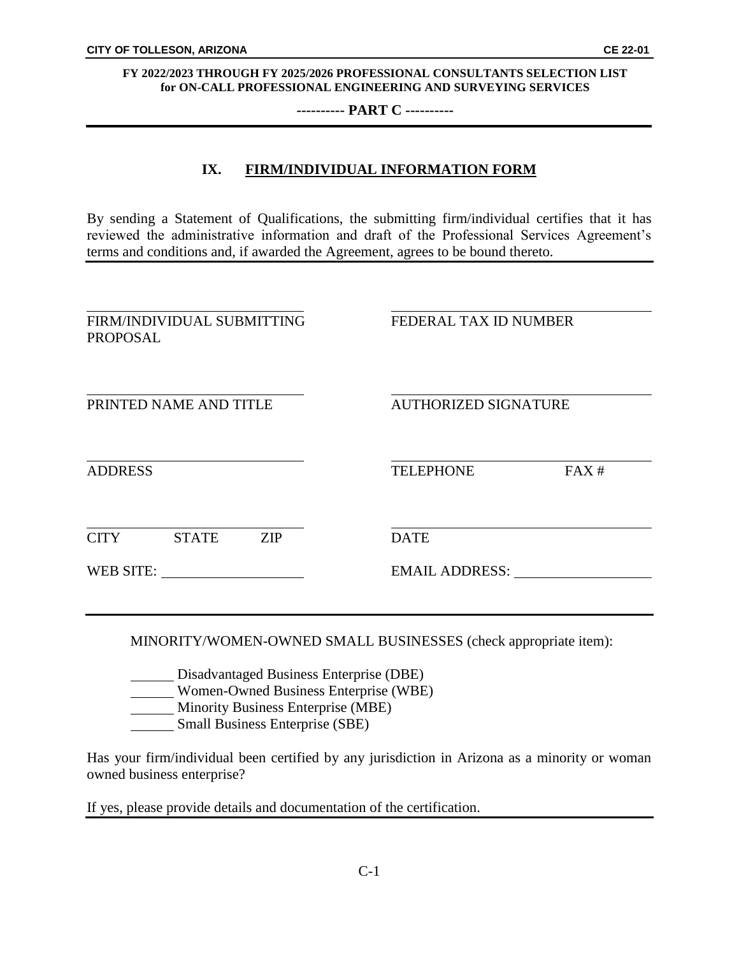**---------- PART C ----------**

## **IX. FIRM/INDIVIDUAL INFORMATION FORM**

By sending a Statement of Qualifications, the submitting firm/individual certifies that it has reviewed the administrative information and draft of the Professional Services Agreement's terms and conditions and, if awarded the Agreement, agrees to be bound thereto.

| FIRM/INDIVIDUAL SUBMITTING<br><b>PROPOSAL</b> |                        | FEDERAL TAX ID NUMBER |                             |      |
|-----------------------------------------------|------------------------|-----------------------|-----------------------------|------|
|                                               | PRINTED NAME AND TITLE |                       | <b>AUTHORIZED SIGNATURE</b> |      |
| <b>ADDRESS</b>                                |                        |                       | <b>TELEPHONE</b>            | FAX# |
| <b>CITY</b>                                   | <b>STATE</b>           | <b>ZIP</b>            | <b>DATE</b>                 |      |
| WEB SITE:                                     |                        |                       | EMAIL ADDRESS:              |      |
|                                               |                        |                       |                             |      |

MINORITY/WOMEN-OWNED SMALL BUSINESSES (check appropriate item):

Disadvantaged Business Enterprise (DBE) Women-Owned Business Enterprise (WBE)

Minority Business Enterprise (MBE)

Small Business Enterprise (SBE)

Has your firm/individual been certified by any jurisdiction in Arizona as a minority or woman owned business enterprise?

If yes, please provide details and documentation of the certification.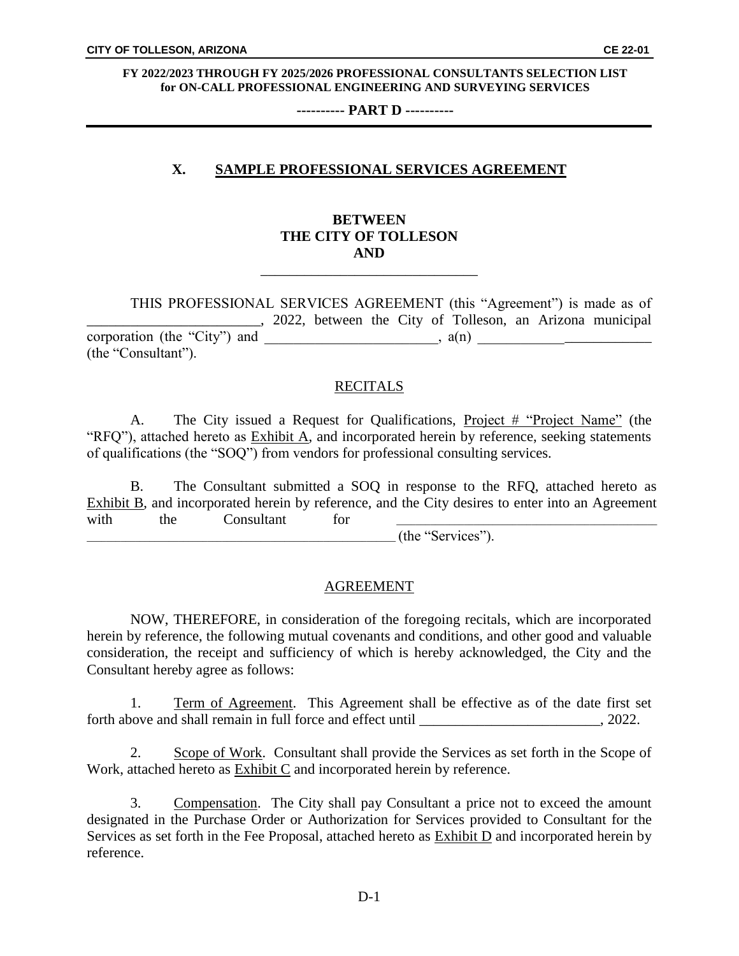**---------- PART D ----------**

## **X. SAMPLE PROFESSIONAL SERVICES AGREEMENT**

## **BETWEEN THE CITY OF TOLLESON AND**

\_\_\_\_\_\_\_\_\_\_\_\_\_\_\_\_\_\_\_\_\_\_\_\_\_\_\_\_\_\_

THIS PROFESSIONAL SERVICES AGREEMENT (this "Agreement") is made as of . 2022, between the City of Tolleson, an Arizona municipal corporation (the "City") and \_\_\_\_\_\_\_\_\_\_\_\_\_\_\_\_\_\_\_\_\_\_\_\_, a(n) \_\_\_\_\_\_\_\_\_\_\_\_\_\_\_\_\_\_\_\_\_\_\_\_ (the "Consultant").

### **RECITALS**

A. The City issued a Request for Qualifications, Project # "Project Name" (the "RFQ"), attached hereto as Exhibit A, and incorporated herein by reference, seeking statements of qualifications (the "SOQ") from vendors for professional consulting services.

B. The Consultant submitted a SOQ in response to the RFQ, attached hereto as Exhibit B, and incorporated herein by reference, and the City desires to enter into an Agreement with the Consultant for <u>\_\_\_\_\_\_\_\_\_\_\_\_\_\_\_\_\_\_\_\_\_\_\_\_\_</u>

\_\_\_\_\_\_\_\_\_\_\_\_\_\_\_\_\_\_\_\_\_\_\_\_\_\_\_\_\_\_\_\_\_\_\_\_\_\_\_\_\_\_\_\_\_\_\_\_\_\_\_\_\_\_\_\_\_\_\_\_\_\_\_\_ (the "Services").

### AGREEMENT

NOW, THEREFORE, in consideration of the foregoing recitals, which are incorporated herein by reference, the following mutual covenants and conditions, and other good and valuable consideration, the receipt and sufficiency of which is hereby acknowledged, the City and the Consultant hereby agree as follows:

1. Term of Agreement. This Agreement shall be effective as of the date first set forth above and shall remain in full force and effect until \_\_\_\_\_\_\_\_\_\_\_\_\_\_\_\_\_\_\_\_\_\_, 2022.

2. Scope of Work. Consultant shall provide the Services as set forth in the Scope of Work, attached hereto as Exhibit C and incorporated herein by reference.

3. Compensation. The City shall pay Consultant a price not to exceed the amount designated in the Purchase Order or Authorization for Services provided to Consultant for the Services as set forth in the Fee Proposal, attached hereto as **Exhibit D** and incorporated herein by reference.

D-1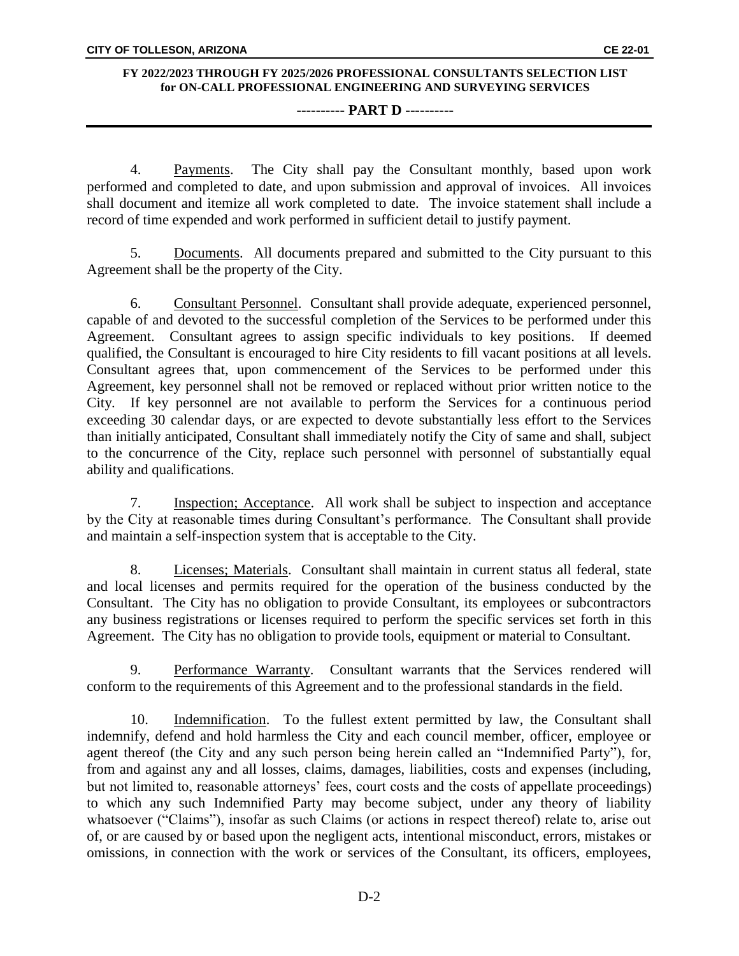### **---------- PART D ----------**

4. Payments. The City shall pay the Consultant monthly, based upon work performed and completed to date, and upon submission and approval of invoices. All invoices shall document and itemize all work completed to date. The invoice statement shall include a record of time expended and work performed in sufficient detail to justify payment.

5. Documents. All documents prepared and submitted to the City pursuant to this Agreement shall be the property of the City.

6. Consultant Personnel. Consultant shall provide adequate, experienced personnel, capable of and devoted to the successful completion of the Services to be performed under this Agreement. Consultant agrees to assign specific individuals to key positions. If deemed qualified, the Consultant is encouraged to hire City residents to fill vacant positions at all levels. Consultant agrees that, upon commencement of the Services to be performed under this Agreement, key personnel shall not be removed or replaced without prior written notice to the City. If key personnel are not available to perform the Services for a continuous period exceeding 30 calendar days, or are expected to devote substantially less effort to the Services than initially anticipated, Consultant shall immediately notify the City of same and shall, subject to the concurrence of the City, replace such personnel with personnel of substantially equal ability and qualifications.

7. Inspection; Acceptance. All work shall be subject to inspection and acceptance by the City at reasonable times during Consultant's performance. The Consultant shall provide and maintain a self-inspection system that is acceptable to the City.

8. Licenses; Materials. Consultant shall maintain in current status all federal, state and local licenses and permits required for the operation of the business conducted by the Consultant. The City has no obligation to provide Consultant, its employees or subcontractors any business registrations or licenses required to perform the specific services set forth in this Agreement. The City has no obligation to provide tools, equipment or material to Consultant.

9. Performance Warranty. Consultant warrants that the Services rendered will conform to the requirements of this Agreement and to the professional standards in the field.

10. Indemnification. To the fullest extent permitted by law, the Consultant shall indemnify, defend and hold harmless the City and each council member, officer, employee or agent thereof (the City and any such person being herein called an "Indemnified Party"), for, from and against any and all losses, claims, damages, liabilities, costs and expenses (including, but not limited to, reasonable attorneys' fees, court costs and the costs of appellate proceedings) to which any such Indemnified Party may become subject, under any theory of liability whatsoever ("Claims"), insofar as such Claims (or actions in respect thereof) relate to, arise out of, or are caused by or based upon the negligent acts, intentional misconduct, errors, mistakes or omissions, in connection with the work or services of the Consultant, its officers, employees,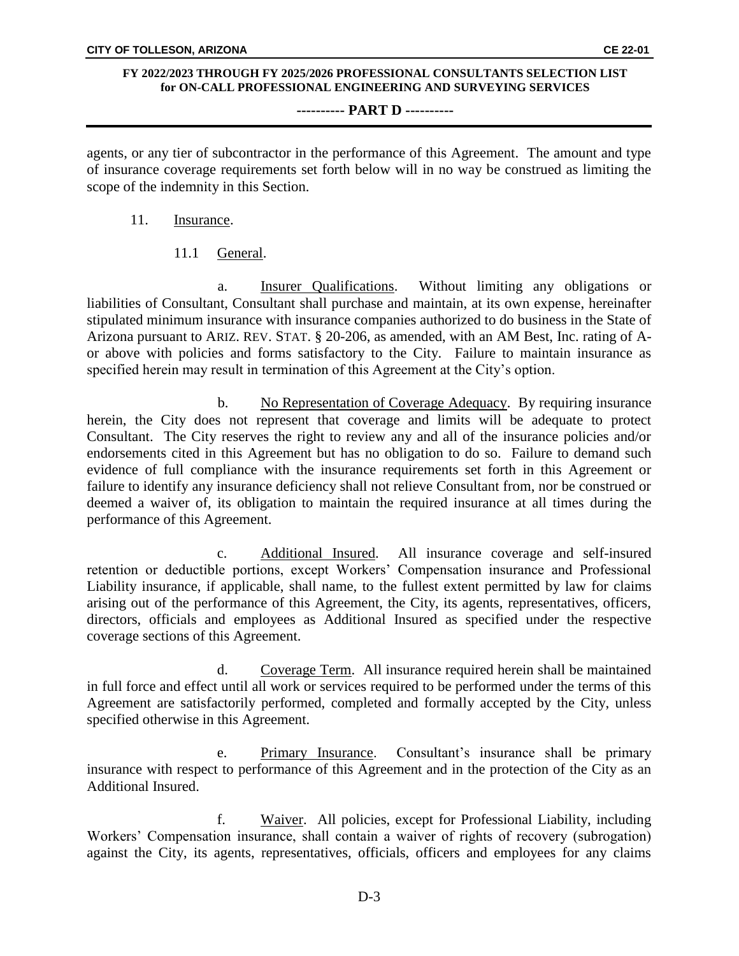### **---------- PART D ----------**

agents, or any tier of subcontractor in the performance of this Agreement. The amount and type of insurance coverage requirements set forth below will in no way be construed as limiting the scope of the indemnity in this Section.

- 11. Insurance.
	- 11.1 General.

a. Insurer Qualifications. Without limiting any obligations or liabilities of Consultant, Consultant shall purchase and maintain, at its own expense, hereinafter stipulated minimum insurance with insurance companies authorized to do business in the State of Arizona pursuant to ARIZ. REV. STAT. § 20-206, as amended, with an AM Best, Inc. rating of Aor above with policies and forms satisfactory to the City. Failure to maintain insurance as specified herein may result in termination of this Agreement at the City's option.

b. No Representation of Coverage Adequacy. By requiring insurance herein, the City does not represent that coverage and limits will be adequate to protect Consultant. The City reserves the right to review any and all of the insurance policies and/or endorsements cited in this Agreement but has no obligation to do so. Failure to demand such evidence of full compliance with the insurance requirements set forth in this Agreement or failure to identify any insurance deficiency shall not relieve Consultant from, nor be construed or deemed a waiver of, its obligation to maintain the required insurance at all times during the performance of this Agreement.

c. Additional Insured. All insurance coverage and self-insured retention or deductible portions, except Workers' Compensation insurance and Professional Liability insurance, if applicable, shall name, to the fullest extent permitted by law for claims arising out of the performance of this Agreement, the City, its agents, representatives, officers, directors, officials and employees as Additional Insured as specified under the respective coverage sections of this Agreement.

d. Coverage Term. All insurance required herein shall be maintained in full force and effect until all work or services required to be performed under the terms of this Agreement are satisfactorily performed, completed and formally accepted by the City, unless specified otherwise in this Agreement.

e. Primary Insurance. Consultant's insurance shall be primary insurance with respect to performance of this Agreement and in the protection of the City as an Additional Insured.

f. Waiver. All policies, except for Professional Liability, including Workers' Compensation insurance, shall contain a waiver of rights of recovery (subrogation) against the City, its agents, representatives, officials, officers and employees for any claims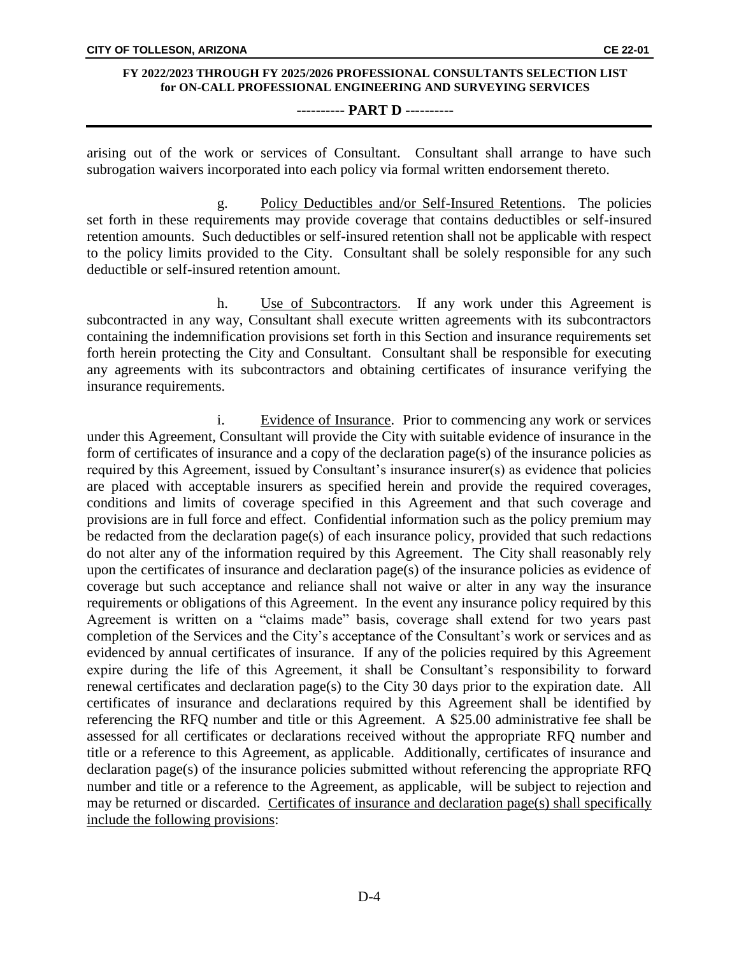#### **---------- PART D ----------**

arising out of the work or services of Consultant. Consultant shall arrange to have such subrogation waivers incorporated into each policy via formal written endorsement thereto.

g. Policy Deductibles and/or Self-Insured Retentions. The policies set forth in these requirements may provide coverage that contains deductibles or self-insured retention amounts. Such deductibles or self-insured retention shall not be applicable with respect to the policy limits provided to the City. Consultant shall be solely responsible for any such deductible or self-insured retention amount.

h. Use of Subcontractors. If any work under this Agreement is subcontracted in any way, Consultant shall execute written agreements with its subcontractors containing the indemnification provisions set forth in this Section and insurance requirements set forth herein protecting the City and Consultant. Consultant shall be responsible for executing any agreements with its subcontractors and obtaining certificates of insurance verifying the insurance requirements.

i. Evidence of Insurance. Prior to commencing any work or services under this Agreement, Consultant will provide the City with suitable evidence of insurance in the form of certificates of insurance and a copy of the declaration page(s) of the insurance policies as required by this Agreement, issued by Consultant's insurance insurer(s) as evidence that policies are placed with acceptable insurers as specified herein and provide the required coverages, conditions and limits of coverage specified in this Agreement and that such coverage and provisions are in full force and effect. Confidential information such as the policy premium may be redacted from the declaration page(s) of each insurance policy, provided that such redactions do not alter any of the information required by this Agreement. The City shall reasonably rely upon the certificates of insurance and declaration page(s) of the insurance policies as evidence of coverage but such acceptance and reliance shall not waive or alter in any way the insurance requirements or obligations of this Agreement. In the event any insurance policy required by this Agreement is written on a "claims made" basis, coverage shall extend for two years past completion of the Services and the City's acceptance of the Consultant's work or services and as evidenced by annual certificates of insurance. If any of the policies required by this Agreement expire during the life of this Agreement, it shall be Consultant's responsibility to forward renewal certificates and declaration page(s) to the City 30 days prior to the expiration date. All certificates of insurance and declarations required by this Agreement shall be identified by referencing the RFQ number and title or this Agreement. A \$25.00 administrative fee shall be assessed for all certificates or declarations received without the appropriate RFQ number and title or a reference to this Agreement, as applicable. Additionally, certificates of insurance and declaration page(s) of the insurance policies submitted without referencing the appropriate RFQ number and title or a reference to the Agreement, as applicable, will be subject to rejection and may be returned or discarded. Certificates of insurance and declaration page(s) shall specifically include the following provisions: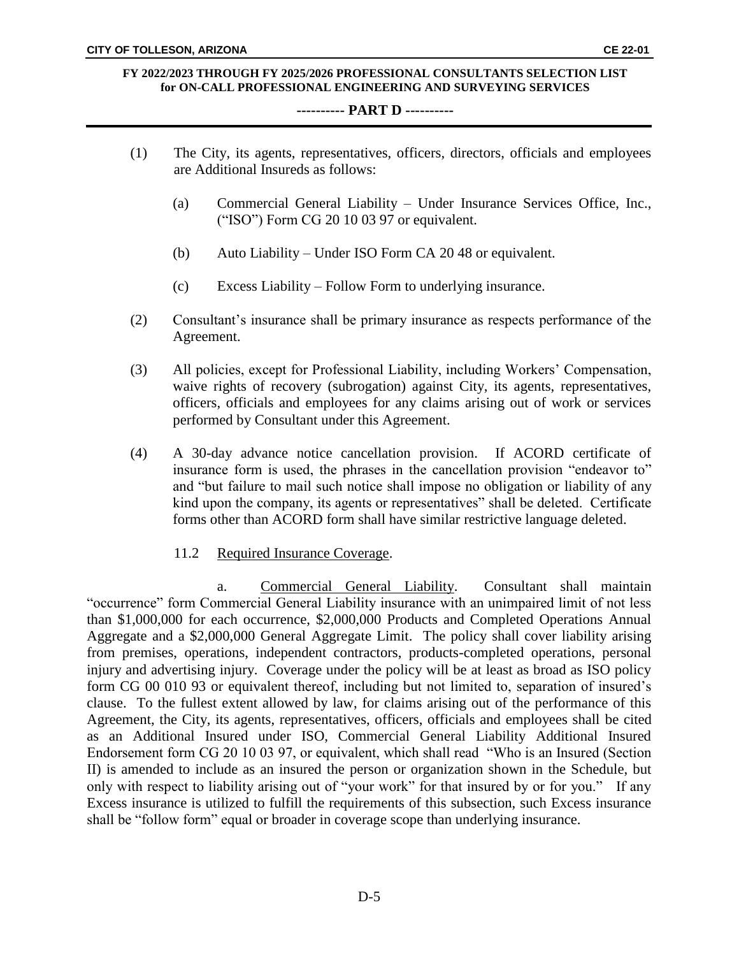#### **---------- PART D ----------**

(1) The City, its agents, representatives, officers, directors, officials and employees

are Additional Insureds as follows: (a) Commercial General Liability – Under Insurance Services Office, Inc., ("ISO") Form CG 20 10 03 97 or equivalent. (b) Auto Liability – Under ISO Form CA 20 48 or equivalent. (c) Excess Liability – Follow Form to underlying insurance. (2) Consultant's insurance shall be primary insurance as respects performance of the Agreement. (3) All policies, except for Professional Liability, including Workers' Compensation, waive rights of recovery (subrogation) against City, its agents, representatives, officers, officials and employees for any claims arising out of work or services performed by Consultant under this Agreement. (4) A 30-day advance notice cancellation provision. If ACORD certificate of insurance form is used, the phrases in the cancellation provision "endeavor to" and "but failure to mail such notice shall impose no obligation or liability of any kind upon the company, its agents or representatives" shall be deleted. Certificate forms other than ACORD form shall have similar restrictive language deleted. 11.2 Required Insurance Coverage. a. Commercial General Liability. Consultant shall maintain "occurrence" form Commercial General Liability insurance with an unimpaired limit of not less than \$1,000,000 for each occurrence, \$2,000,000 Products and Completed Operations Annual Aggregate and a \$2,000,000 General Aggregate Limit. The policy shall cover liability arising from premises, operations, independent contractors, products-completed operations, personal injury and advertising injury. Coverage under the policy will be at least as broad as ISO policy form CG 00 010 93 or equivalent thereof, including but not limited to, separation of insured's clause. To the fullest extent allowed by law, for claims arising out of the performance of this Agreement, the City, its agents, representatives, officers, officials and employees shall be cited as an Additional Insured under ISO, Commercial General Liability Additional Insured

Endorsement form CG 20 10 03 97, or equivalent, which shall read "Who is an Insured (Section II) is amended to include as an insured the person or organization shown in the Schedule, but only with respect to liability arising out of "your work" for that insured by or for you." If any Excess insurance is utilized to fulfill the requirements of this subsection, such Excess insurance shall be "follow form" equal or broader in coverage scope than underlying insurance.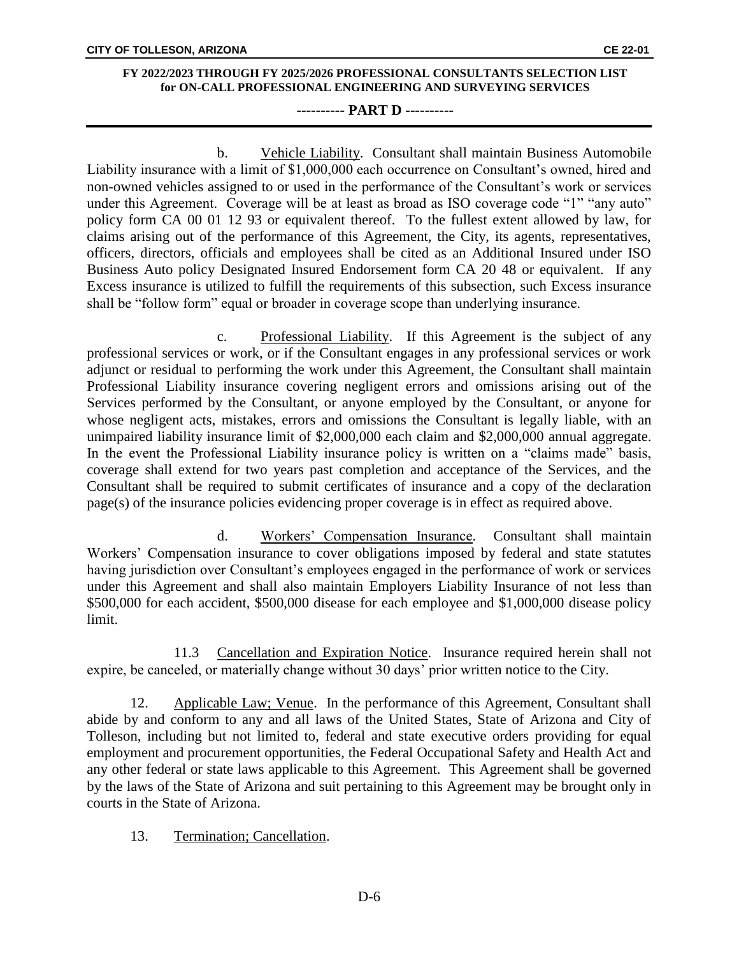### **---------- PART D ----------**

b. Vehicle Liability. Consultant shall maintain Business Automobile Liability insurance with a limit of \$1,000,000 each occurrence on Consultant's owned, hired and non-owned vehicles assigned to or used in the performance of the Consultant's work or services under this Agreement. Coverage will be at least as broad as ISO coverage code "1" "any auto" policy form CA 00 01 12 93 or equivalent thereof. To the fullest extent allowed by law, for claims arising out of the performance of this Agreement, the City, its agents, representatives, officers, directors, officials and employees shall be cited as an Additional Insured under ISO Business Auto policy Designated Insured Endorsement form CA 20 48 or equivalent. If any Excess insurance is utilized to fulfill the requirements of this subsection, such Excess insurance shall be "follow form" equal or broader in coverage scope than underlying insurance.

c. Professional Liability. If this Agreement is the subject of any professional services or work, or if the Consultant engages in any professional services or work adjunct or residual to performing the work under this Agreement, the Consultant shall maintain Professional Liability insurance covering negligent errors and omissions arising out of the Services performed by the Consultant, or anyone employed by the Consultant, or anyone for whose negligent acts, mistakes, errors and omissions the Consultant is legally liable, with an unimpaired liability insurance limit of \$2,000,000 each claim and \$2,000,000 annual aggregate. In the event the Professional Liability insurance policy is written on a "claims made" basis, coverage shall extend for two years past completion and acceptance of the Services, and the Consultant shall be required to submit certificates of insurance and a copy of the declaration page(s) of the insurance policies evidencing proper coverage is in effect as required above.

d. Workers' Compensation Insurance. Consultant shall maintain Workers' Compensation insurance to cover obligations imposed by federal and state statutes having jurisdiction over Consultant's employees engaged in the performance of work or services under this Agreement and shall also maintain Employers Liability Insurance of not less than \$500,000 for each accident, \$500,000 disease for each employee and \$1,000,000 disease policy limit.

11.3 Cancellation and Expiration Notice. Insurance required herein shall not expire, be canceled, or materially change without 30 days' prior written notice to the City.

12. Applicable Law; Venue. In the performance of this Agreement, Consultant shall abide by and conform to any and all laws of the United States, State of Arizona and City of Tolleson, including but not limited to, federal and state executive orders providing for equal employment and procurement opportunities, the Federal Occupational Safety and Health Act and any other federal or state laws applicable to this Agreement. This Agreement shall be governed by the laws of the State of Arizona and suit pertaining to this Agreement may be brought only in courts in the State of Arizona.

## 13. Termination; Cancellation.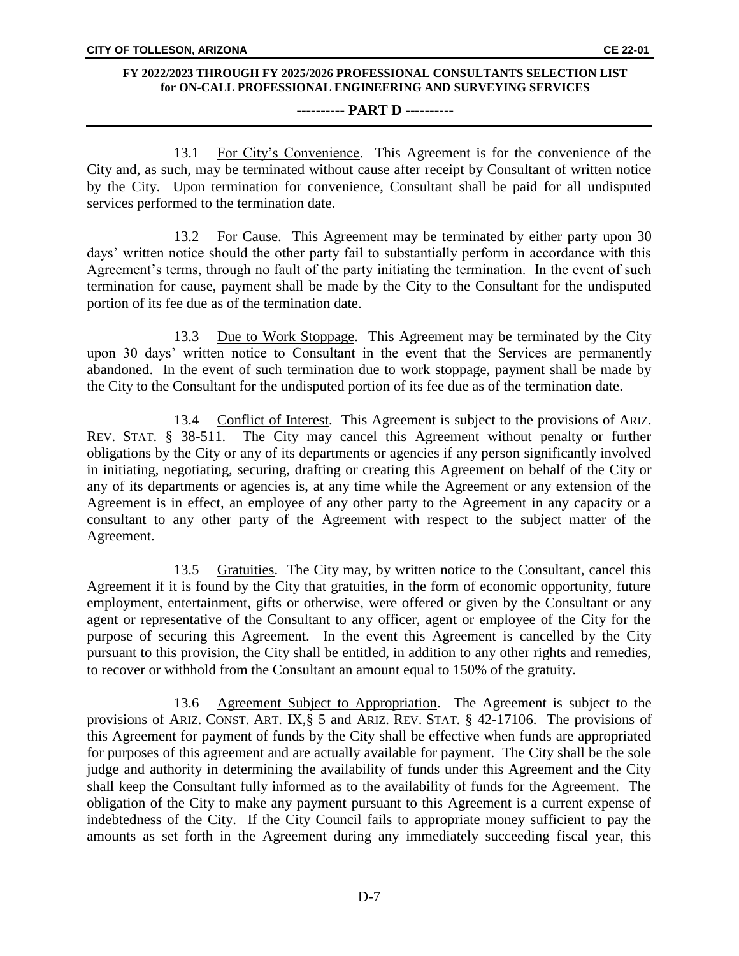### **---------- PART D ----------**

13.1 For City's Convenience. This Agreement is for the convenience of the City and, as such, may be terminated without cause after receipt by Consultant of written notice by the City. Upon termination for convenience, Consultant shall be paid for all undisputed services performed to the termination date.

13.2 For Cause. This Agreement may be terminated by either party upon 30 days' written notice should the other party fail to substantially perform in accordance with this Agreement's terms, through no fault of the party initiating the termination. In the event of such termination for cause, payment shall be made by the City to the Consultant for the undisputed portion of its fee due as of the termination date.

13.3 Due to Work Stoppage. This Agreement may be terminated by the City upon 30 days' written notice to Consultant in the event that the Services are permanently abandoned. In the event of such termination due to work stoppage, payment shall be made by the City to the Consultant for the undisputed portion of its fee due as of the termination date.

13.4 Conflict of Interest. This Agreement is subject to the provisions of ARIZ. REV. STAT. § 38-511. The City may cancel this Agreement without penalty or further obligations by the City or any of its departments or agencies if any person significantly involved in initiating, negotiating, securing, drafting or creating this Agreement on behalf of the City or any of its departments or agencies is, at any time while the Agreement or any extension of the Agreement is in effect, an employee of any other party to the Agreement in any capacity or a consultant to any other party of the Agreement with respect to the subject matter of the Agreement.

13.5 Gratuities. The City may, by written notice to the Consultant, cancel this Agreement if it is found by the City that gratuities, in the form of economic opportunity, future employment, entertainment, gifts or otherwise, were offered or given by the Consultant or any agent or representative of the Consultant to any officer, agent or employee of the City for the purpose of securing this Agreement. In the event this Agreement is cancelled by the City pursuant to this provision, the City shall be entitled, in addition to any other rights and remedies, to recover or withhold from the Consultant an amount equal to 150% of the gratuity.

13.6 Agreement Subject to Appropriation. The Agreement is subject to the provisions of ARIZ. CONST. ART. IX,§ 5 and ARIZ. REV. STAT. § 42-17106. The provisions of this Agreement for payment of funds by the City shall be effective when funds are appropriated for purposes of this agreement and are actually available for payment. The City shall be the sole judge and authority in determining the availability of funds under this Agreement and the City shall keep the Consultant fully informed as to the availability of funds for the Agreement. The obligation of the City to make any payment pursuant to this Agreement is a current expense of indebtedness of the City. If the City Council fails to appropriate money sufficient to pay the amounts as set forth in the Agreement during any immediately succeeding fiscal year, this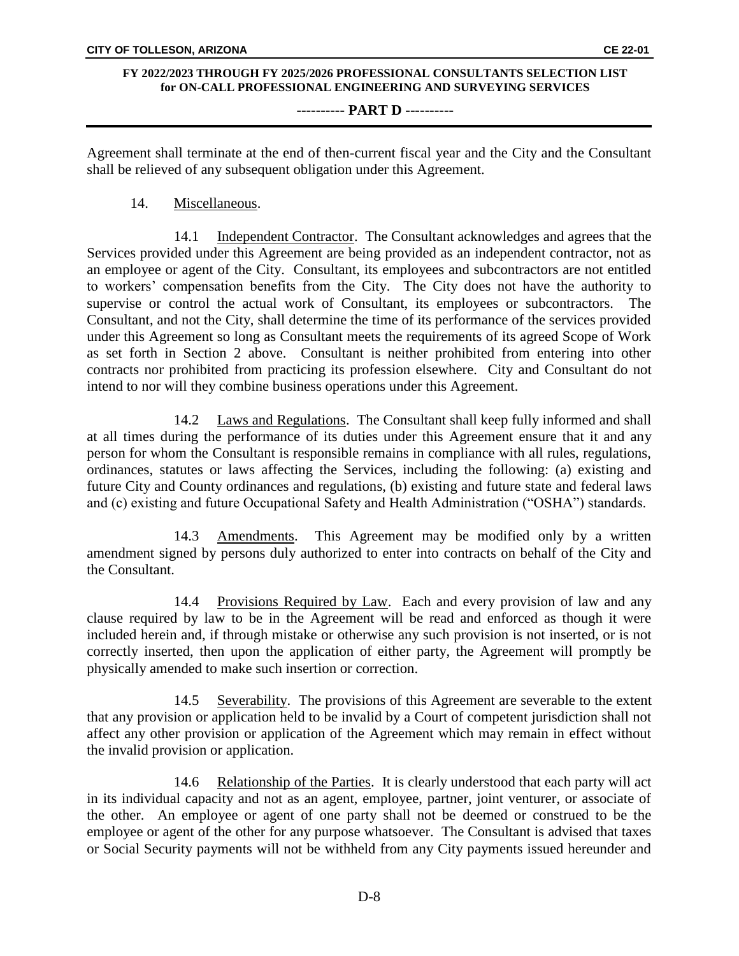### **---------- PART D ----------**

Agreement shall terminate at the end of then-current fiscal year and the City and the Consultant shall be relieved of any subsequent obligation under this Agreement.

### 14. Miscellaneous.

14.1 Independent Contractor. The Consultant acknowledges and agrees that the Services provided under this Agreement are being provided as an independent contractor, not as an employee or agent of the City. Consultant, its employees and subcontractors are not entitled to workers' compensation benefits from the City. The City does not have the authority to supervise or control the actual work of Consultant, its employees or subcontractors. Consultant, and not the City, shall determine the time of its performance of the services provided under this Agreement so long as Consultant meets the requirements of its agreed Scope of Work as set forth in Section 2 above. Consultant is neither prohibited from entering into other contracts nor prohibited from practicing its profession elsewhere. City and Consultant do not intend to nor will they combine business operations under this Agreement.

14.2 Laws and Regulations. The Consultant shall keep fully informed and shall at all times during the performance of its duties under this Agreement ensure that it and any person for whom the Consultant is responsible remains in compliance with all rules, regulations, ordinances, statutes or laws affecting the Services, including the following: (a) existing and future City and County ordinances and regulations, (b) existing and future state and federal laws and (c) existing and future Occupational Safety and Health Administration ("OSHA") standards.

14.3 Amendments. This Agreement may be modified only by a written amendment signed by persons duly authorized to enter into contracts on behalf of the City and the Consultant.

14.4 Provisions Required by Law. Each and every provision of law and any clause required by law to be in the Agreement will be read and enforced as though it were included herein and, if through mistake or otherwise any such provision is not inserted, or is not correctly inserted, then upon the application of either party, the Agreement will promptly be physically amended to make such insertion or correction.

14.5 Severability. The provisions of this Agreement are severable to the extent that any provision or application held to be invalid by a Court of competent jurisdiction shall not affect any other provision or application of the Agreement which may remain in effect without the invalid provision or application.

14.6 Relationship of the Parties. It is clearly understood that each party will act in its individual capacity and not as an agent, employee, partner, joint venturer, or associate of the other. An employee or agent of one party shall not be deemed or construed to be the employee or agent of the other for any purpose whatsoever. The Consultant is advised that taxes or Social Security payments will not be withheld from any City payments issued hereunder and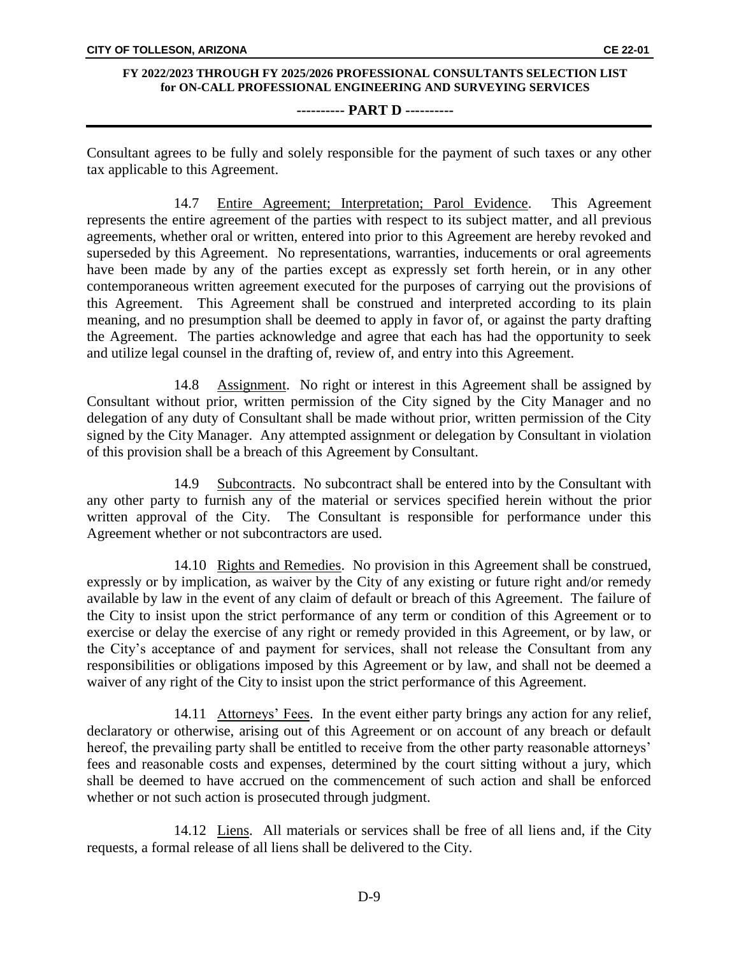### **---------- PART D ----------**

Consultant agrees to be fully and solely responsible for the payment of such taxes or any other tax applicable to this Agreement.

14.7 Entire Agreement; Interpretation; Parol Evidence. This Agreement represents the entire agreement of the parties with respect to its subject matter, and all previous agreements, whether oral or written, entered into prior to this Agreement are hereby revoked and superseded by this Agreement. No representations, warranties, inducements or oral agreements have been made by any of the parties except as expressly set forth herein, or in any other contemporaneous written agreement executed for the purposes of carrying out the provisions of this Agreement. This Agreement shall be construed and interpreted according to its plain meaning, and no presumption shall be deemed to apply in favor of, or against the party drafting the Agreement. The parties acknowledge and agree that each has had the opportunity to seek and utilize legal counsel in the drafting of, review of, and entry into this Agreement.

14.8 Assignment. No right or interest in this Agreement shall be assigned by Consultant without prior, written permission of the City signed by the City Manager and no delegation of any duty of Consultant shall be made without prior, written permission of the City signed by the City Manager. Any attempted assignment or delegation by Consultant in violation of this provision shall be a breach of this Agreement by Consultant.

14.9 Subcontracts. No subcontract shall be entered into by the Consultant with any other party to furnish any of the material or services specified herein without the prior written approval of the City. The Consultant is responsible for performance under this Agreement whether or not subcontractors are used.

14.10 Rights and Remedies. No provision in this Agreement shall be construed, expressly or by implication, as waiver by the City of any existing or future right and/or remedy available by law in the event of any claim of default or breach of this Agreement. The failure of the City to insist upon the strict performance of any term or condition of this Agreement or to exercise or delay the exercise of any right or remedy provided in this Agreement, or by law, or the City's acceptance of and payment for services, shall not release the Consultant from any responsibilities or obligations imposed by this Agreement or by law, and shall not be deemed a waiver of any right of the City to insist upon the strict performance of this Agreement.

14.11 Attorneys' Fees. In the event either party brings any action for any relief, declaratory or otherwise, arising out of this Agreement or on account of any breach or default hereof, the prevailing party shall be entitled to receive from the other party reasonable attorneys' fees and reasonable costs and expenses, determined by the court sitting without a jury, which shall be deemed to have accrued on the commencement of such action and shall be enforced whether or not such action is prosecuted through judgment.

14.12 Liens. All materials or services shall be free of all liens and, if the City requests, a formal release of all liens shall be delivered to the City.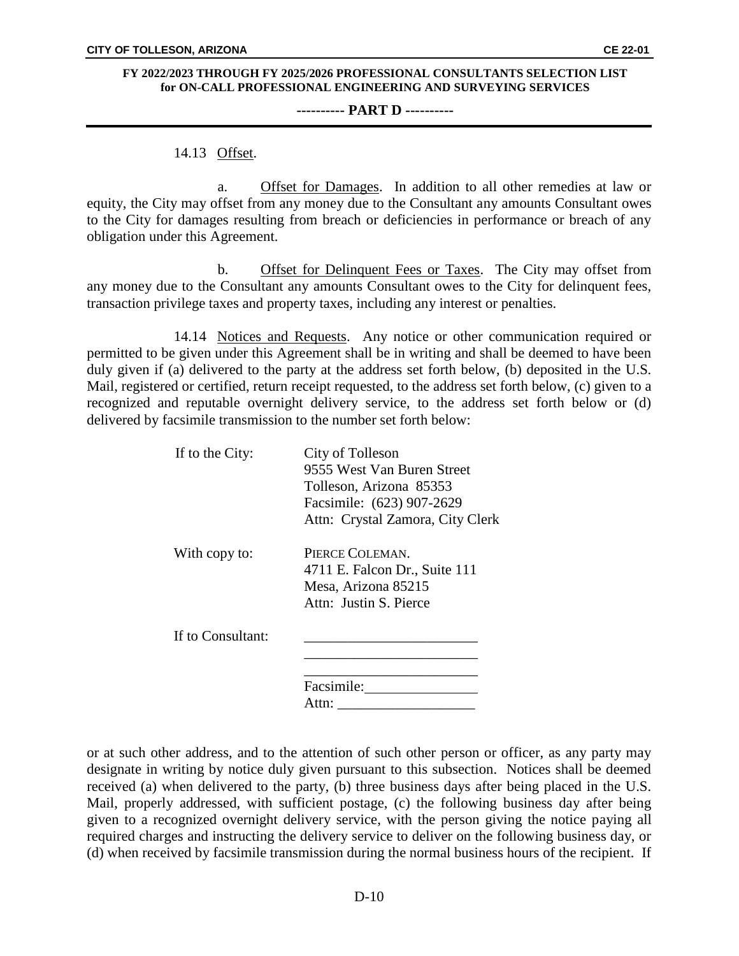#### **---------- PART D ----------**

### 14.13 Offset.

a. Offset for Damages. In addition to all other remedies at law or equity, the City may offset from any money due to the Consultant any amounts Consultant owes to the City for damages resulting from breach or deficiencies in performance or breach of any obligation under this Agreement.

b. Offset for Delinquent Fees or Taxes. The City may offset from any money due to the Consultant any amounts Consultant owes to the City for delinquent fees, transaction privilege taxes and property taxes, including any interest or penalties.

14.14 Notices and Requests. Any notice or other communication required or permitted to be given under this Agreement shall be in writing and shall be deemed to have been duly given if (a) delivered to the party at the address set forth below, (b) deposited in the U.S. Mail, registered or certified, return receipt requested, to the address set forth below, (c) given to a recognized and reputable overnight delivery service, to the address set forth below or (d) delivered by facsimile transmission to the number set forth below:

| If to the City:   | City of Tolleson                 |
|-------------------|----------------------------------|
|                   | 9555 West Van Buren Street       |
|                   | Tolleson, Arizona 85353          |
|                   | Facsimile: (623) 907-2629        |
|                   | Attn: Crystal Zamora, City Clerk |
| With copy to:     | PIERCE COLEMAN.                  |
|                   | 4711 E. Falcon Dr., Suite 111    |
|                   | Mesa, Arizona 85215              |
|                   | Attn: Justin S. Pierce           |
| If to Consultant: |                                  |
|                   |                                  |
|                   | Facsimile:                       |
|                   | Attn:                            |
|                   |                                  |

or at such other address, and to the attention of such other person or officer, as any party may designate in writing by notice duly given pursuant to this subsection. Notices shall be deemed received (a) when delivered to the party, (b) three business days after being placed in the U.S. Mail, properly addressed, with sufficient postage, (c) the following business day after being given to a recognized overnight delivery service, with the person giving the notice paying all required charges and instructing the delivery service to deliver on the following business day, or (d) when received by facsimile transmission during the normal business hours of the recipient. If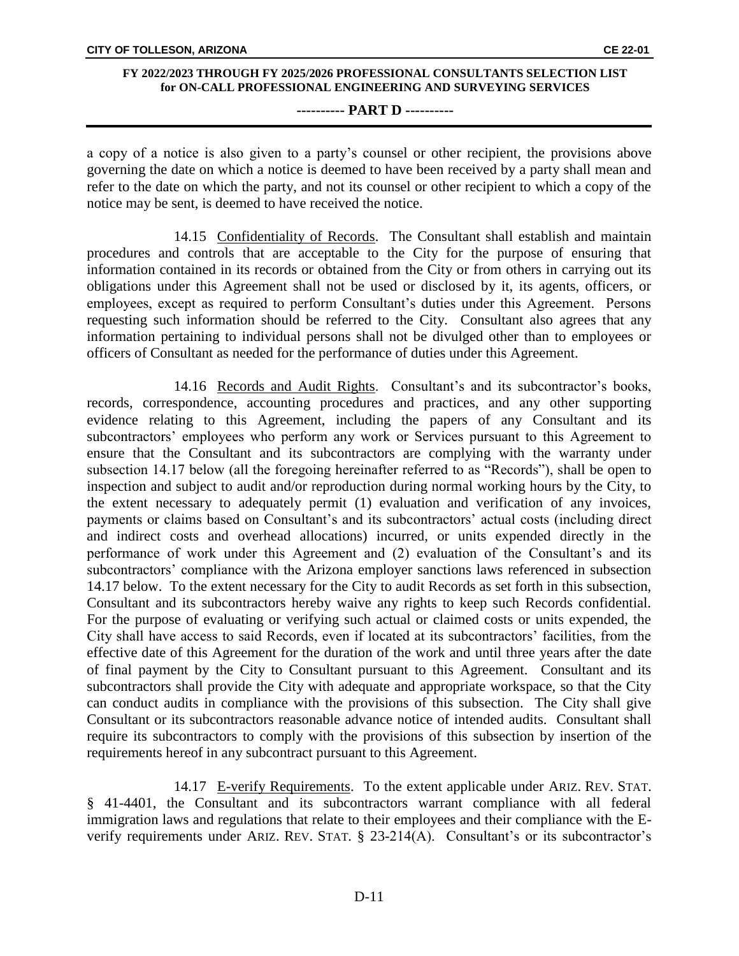### **---------- PART D ----------**

a copy of a notice is also given to a party's counsel or other recipient, the provisions above governing the date on which a notice is deemed to have been received by a party shall mean and refer to the date on which the party, and not its counsel or other recipient to which a copy of the notice may be sent, is deemed to have received the notice.

14.15 Confidentiality of Records. The Consultant shall establish and maintain procedures and controls that are acceptable to the City for the purpose of ensuring that information contained in its records or obtained from the City or from others in carrying out its obligations under this Agreement shall not be used or disclosed by it, its agents, officers, or employees, except as required to perform Consultant's duties under this Agreement. Persons requesting such information should be referred to the City. Consultant also agrees that any information pertaining to individual persons shall not be divulged other than to employees or officers of Consultant as needed for the performance of duties under this Agreement.

14.16 Records and Audit Rights. Consultant's and its subcontractor's books, records, correspondence, accounting procedures and practices, and any other supporting evidence relating to this Agreement, including the papers of any Consultant and its subcontractors' employees who perform any work or Services pursuant to this Agreement to ensure that the Consultant and its subcontractors are complying with the warranty under subsection 14.17 below (all the foregoing hereinafter referred to as "Records"), shall be open to inspection and subject to audit and/or reproduction during normal working hours by the City, to the extent necessary to adequately permit (1) evaluation and verification of any invoices, payments or claims based on Consultant's and its subcontractors' actual costs (including direct and indirect costs and overhead allocations) incurred, or units expended directly in the performance of work under this Agreement and (2) evaluation of the Consultant's and its subcontractors' compliance with the Arizona employer sanctions laws referenced in subsection 14.17 below. To the extent necessary for the City to audit Records as set forth in this subsection, Consultant and its subcontractors hereby waive any rights to keep such Records confidential. For the purpose of evaluating or verifying such actual or claimed costs or units expended, the City shall have access to said Records, even if located at its subcontractors' facilities, from the effective date of this Agreement for the duration of the work and until three years after the date of final payment by the City to Consultant pursuant to this Agreement. Consultant and its subcontractors shall provide the City with adequate and appropriate workspace, so that the City can conduct audits in compliance with the provisions of this subsection. The City shall give Consultant or its subcontractors reasonable advance notice of intended audits. Consultant shall require its subcontractors to comply with the provisions of this subsection by insertion of the requirements hereof in any subcontract pursuant to this Agreement.

14.17 E-verify Requirements. To the extent applicable under ARIZ. REV. STAT. § 41-4401, the Consultant and its subcontractors warrant compliance with all federal immigration laws and regulations that relate to their employees and their compliance with the Everify requirements under ARIZ. REV. STAT. § 23-214(A). Consultant's or its subcontractor's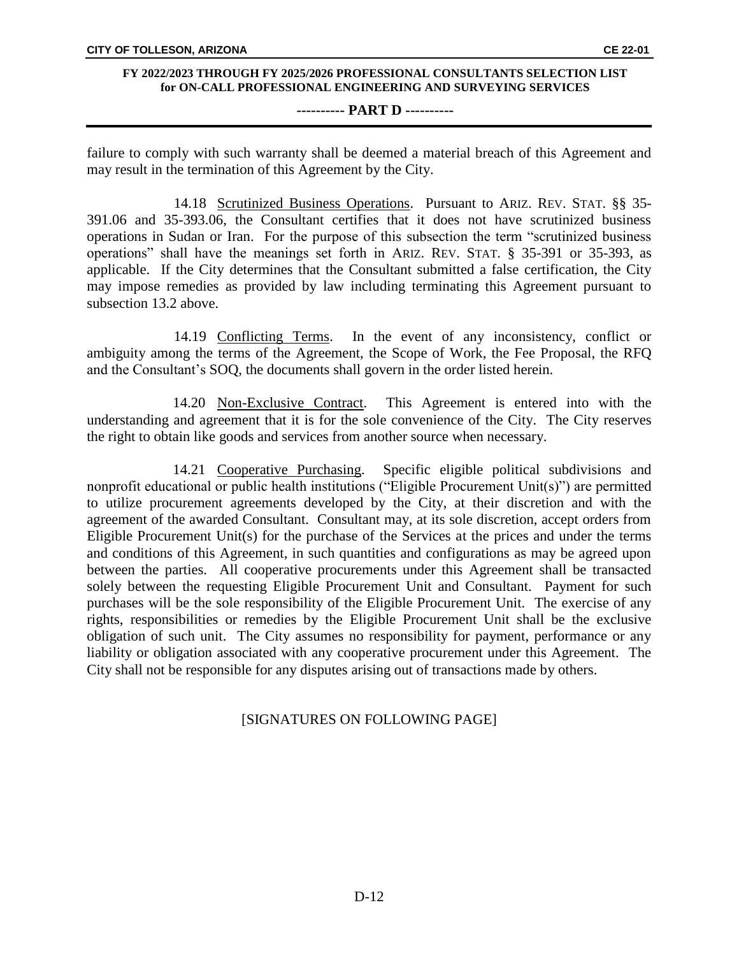#### **---------- PART D ----------**

failure to comply with such warranty shall be deemed a material breach of this Agreement and may result in the termination of this Agreement by the City.

14.18 Scrutinized Business Operations. Pursuant to ARIZ. REV. STAT. §§ 35- 391.06 and 35-393.06, the Consultant certifies that it does not have scrutinized business operations in Sudan or Iran. For the purpose of this subsection the term "scrutinized business operations" shall have the meanings set forth in ARIZ. REV. STAT. § 35-391 or 35-393, as applicable. If the City determines that the Consultant submitted a false certification, the City may impose remedies as provided by law including terminating this Agreement pursuant to subsection 13.2 above.

14.19 Conflicting Terms. In the event of any inconsistency, conflict or ambiguity among the terms of the Agreement, the Scope of Work, the Fee Proposal, the RFQ and the Consultant's SOQ, the documents shall govern in the order listed herein.

14.20 Non-Exclusive Contract. This Agreement is entered into with the understanding and agreement that it is for the sole convenience of the City. The City reserves the right to obtain like goods and services from another source when necessary.

14.21 Cooperative Purchasing. Specific eligible political subdivisions and nonprofit educational or public health institutions ("Eligible Procurement Unit(s)") are permitted to utilize procurement agreements developed by the City, at their discretion and with the agreement of the awarded Consultant. Consultant may, at its sole discretion, accept orders from Eligible Procurement Unit(s) for the purchase of the Services at the prices and under the terms and conditions of this Agreement, in such quantities and configurations as may be agreed upon between the parties. All cooperative procurements under this Agreement shall be transacted solely between the requesting Eligible Procurement Unit and Consultant. Payment for such purchases will be the sole responsibility of the Eligible Procurement Unit. The exercise of any rights, responsibilities or remedies by the Eligible Procurement Unit shall be the exclusive obligation of such unit. The City assumes no responsibility for payment, performance or any liability or obligation associated with any cooperative procurement under this Agreement. The City shall not be responsible for any disputes arising out of transactions made by others.

## [SIGNATURES ON FOLLOWING PAGE]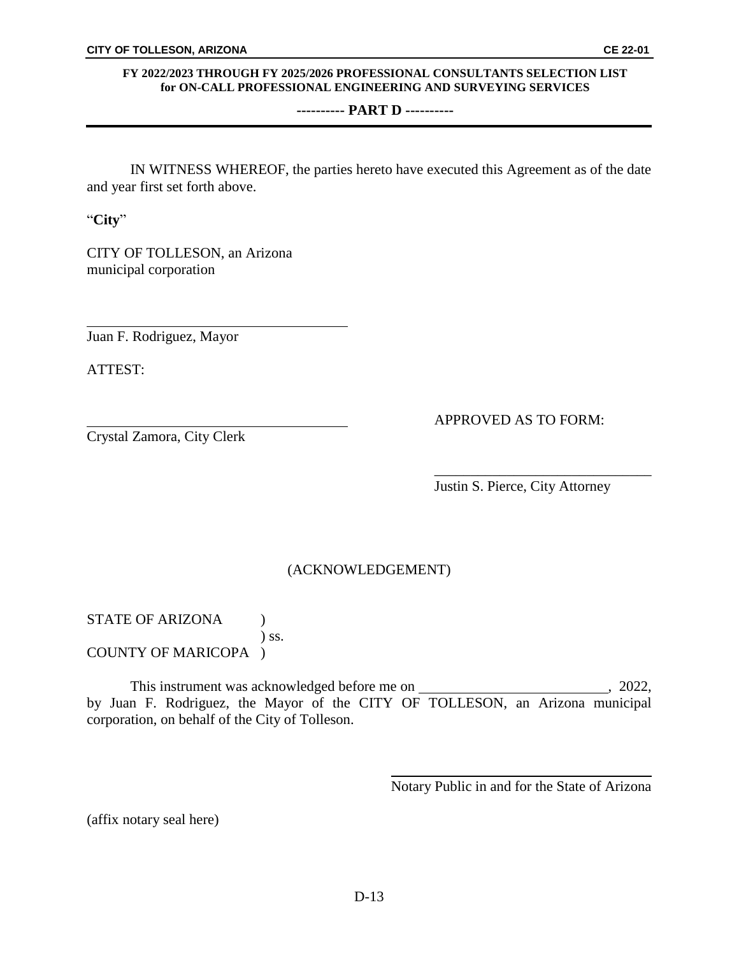### **---------- PART D ----------**

IN WITNESS WHEREOF, the parties hereto have executed this Agreement as of the date and year first set forth above.

"**City**"

CITY OF TOLLESON, an Arizona municipal corporation

Juan F. Rodriguez, Mayor

ATTEST:

Crystal Zamora, City Clerk

APPROVED AS TO FORM:

Justin S. Pierce, City Attorney

\_\_\_\_\_\_\_\_\_\_\_\_\_\_\_\_\_\_\_\_\_\_\_\_\_\_\_\_\_\_

## (ACKNOWLEDGEMENT)

STATE OF ARIZONA ( ) ss. COUNTY OF MARICOPA )

This instrument was acknowledged before me on , 2022, by Juan F. Rodriguez, the Mayor of the CITY OF TOLLESON, an Arizona municipal corporation, on behalf of the City of Tolleson.

Notary Public in and for the State of Arizona

(affix notary seal here)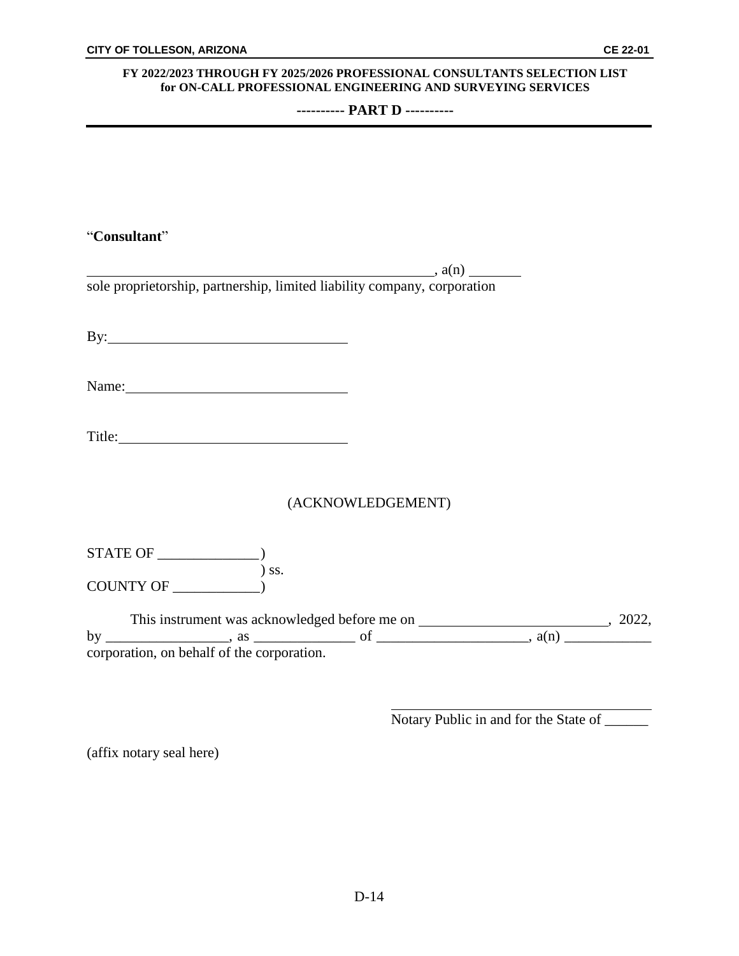**---------- PART D ----------**

| "Consultant"                                                                                                   |  |
|----------------------------------------------------------------------------------------------------------------|--|
|                                                                                                                |  |
| sole proprietorship, partnership, limited liability company, corporation                                       |  |
|                                                                                                                |  |
|                                                                                                                |  |
|                                                                                                                |  |
| Name: 2008.000 Manual Manual Manual Manual Manual Manual Manual Manual Manual Manual Manual Manual Manual Manu |  |
|                                                                                                                |  |
|                                                                                                                |  |
|                                                                                                                |  |
| (ACKNOWLEDGEMENT)                                                                                              |  |
|                                                                                                                |  |
|                                                                                                                |  |
|                                                                                                                |  |
|                                                                                                                |  |
|                                                                                                                |  |
|                                                                                                                |  |

Notary Public in and for the State of \_\_\_\_\_\_

(affix notary seal here)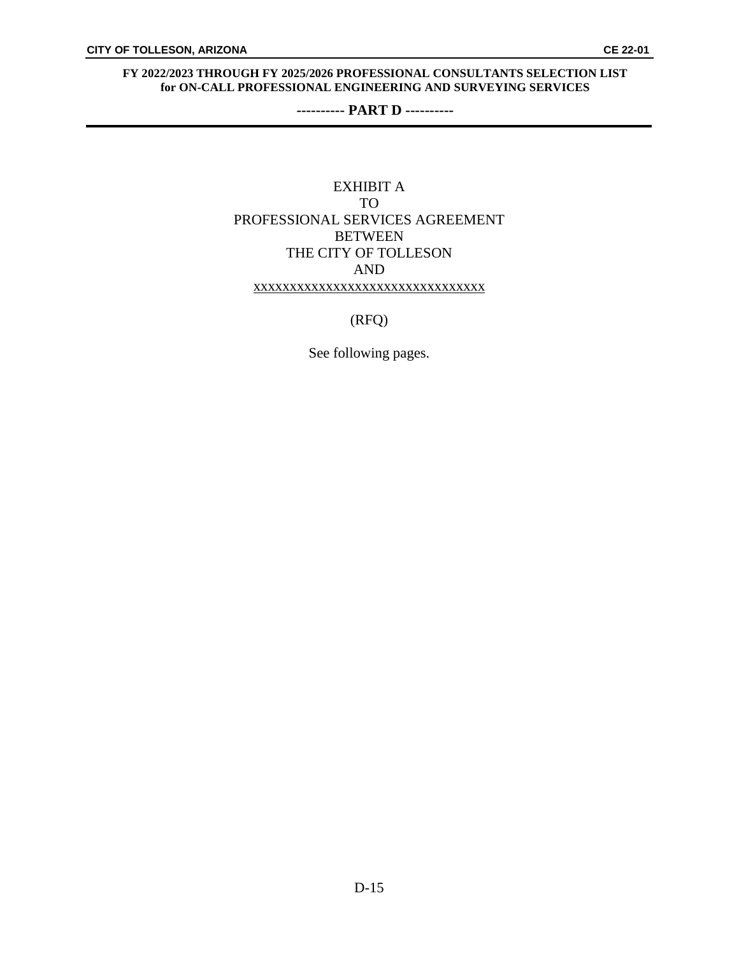**---------- PART D ----------**

## EXHIBIT A TO PROFESSIONAL SERVICES AGREEMENT **BETWEEN** THE CITY OF TOLLESON AND xxxxxxxxxxxxxxxxxxxxxxxxxxxxxxxx

(RFQ)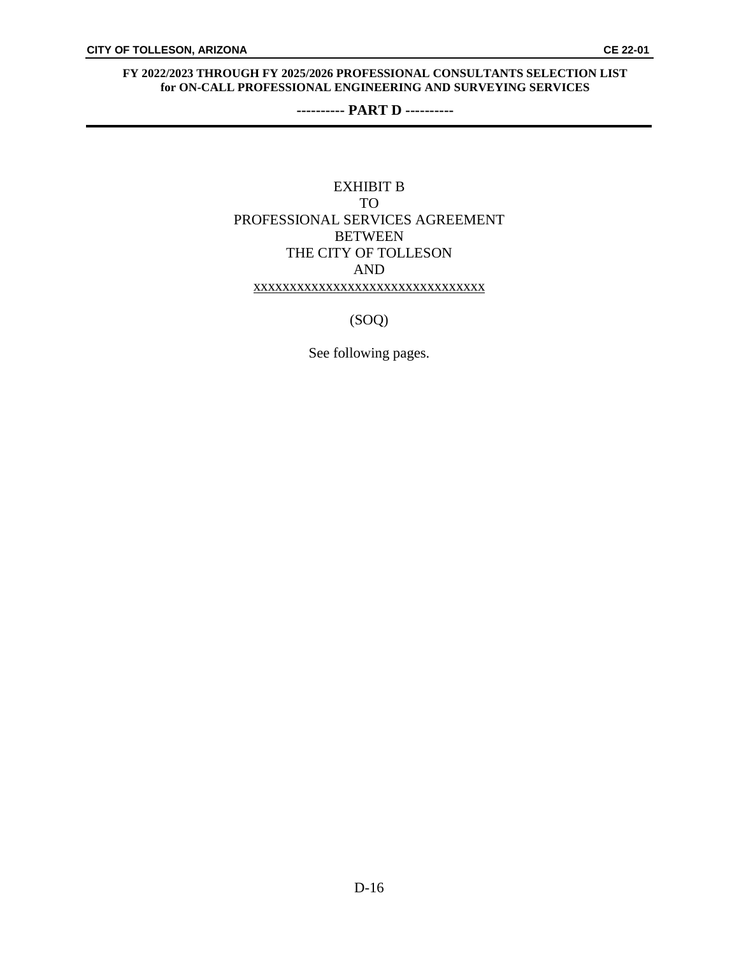**---------- PART D ----------**

## EXHIBIT B TO PROFESSIONAL SERVICES AGREEMENT **BETWEEN** THE CITY OF TOLLESON AND xxxxxxxxxxxxxxxxxxxxxxxxxxxxxxxx

(SOQ)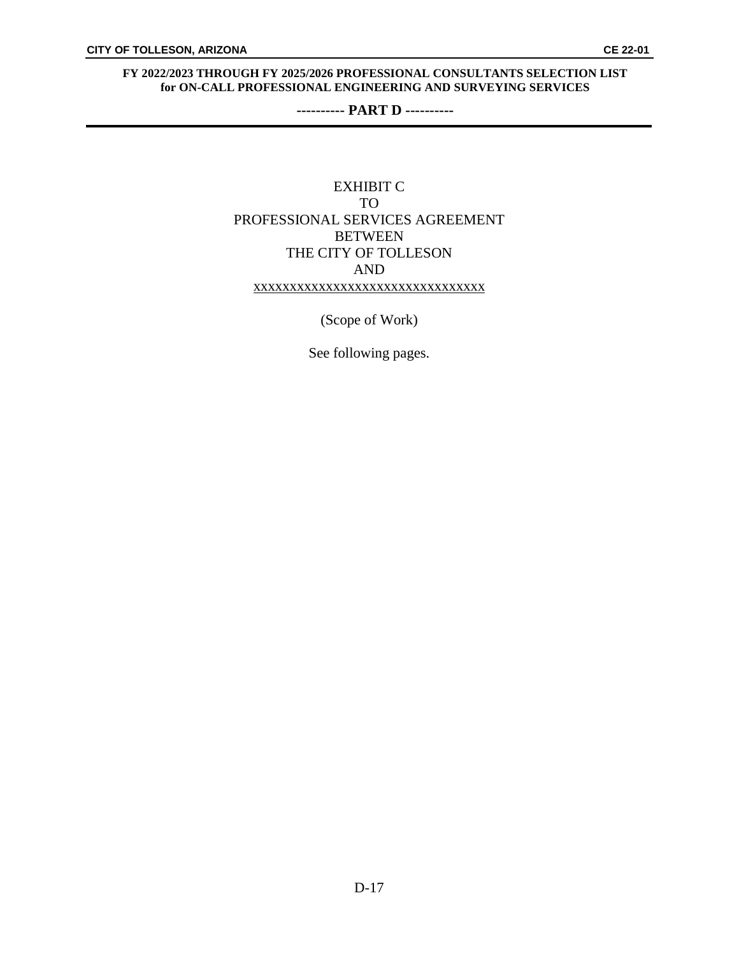**---------- PART D ----------**

## EXHIBIT C TO PROFESSIONAL SERVICES AGREEMENT **BETWEEN** THE CITY OF TOLLESON AND xxxxxxxxxxxxxxxxxxxxxxxxxxxxxxxx

(Scope of Work)